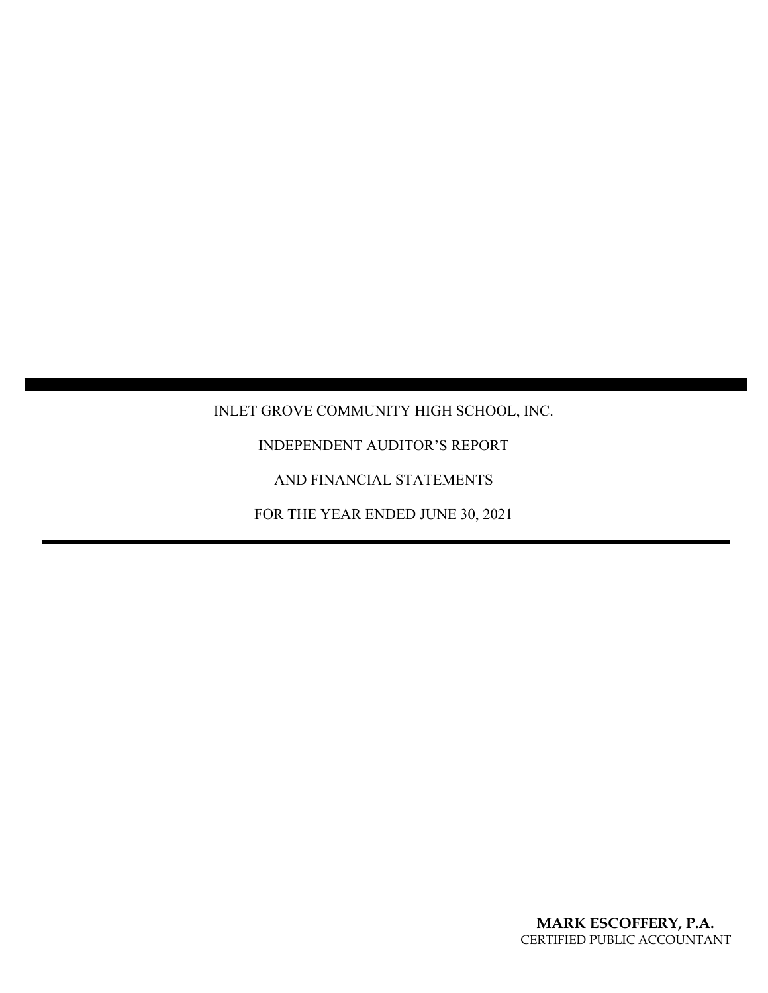# INLET GROVE COMMUNITY HIGH SCHOOL, INC.

INDEPENDENT AUDITOR'S REPORT

AND FINANCIAL STATEMENTS

FOR THE YEAR ENDED JUNE 30, 2021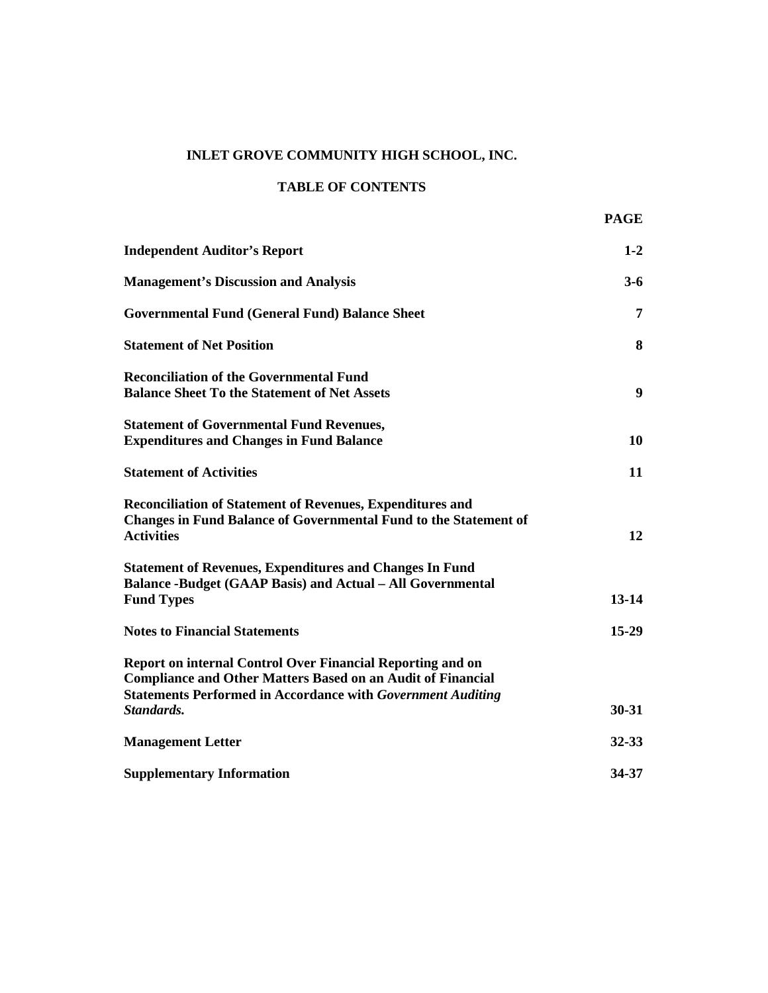# **INLET GROVE COMMUNITY HIGH SCHOOL, INC.**

# **TABLE OF CONTENTS**

| <b>Independent Auditor's Report</b>                                                                                                                                                                                  | $1-2$     |
|----------------------------------------------------------------------------------------------------------------------------------------------------------------------------------------------------------------------|-----------|
| <b>Management's Discussion and Analysis</b>                                                                                                                                                                          | $3 - 6$   |
| <b>Governmental Fund (General Fund) Balance Sheet</b>                                                                                                                                                                | 7         |
| <b>Statement of Net Position</b>                                                                                                                                                                                     | 8         |
| <b>Reconciliation of the Governmental Fund</b><br><b>Balance Sheet To the Statement of Net Assets</b>                                                                                                                | 9         |
| <b>Statement of Governmental Fund Revenues,</b><br><b>Expenditures and Changes in Fund Balance</b>                                                                                                                   | 10        |
| <b>Statement of Activities</b>                                                                                                                                                                                       | 11        |
| <b>Reconciliation of Statement of Revenues, Expenditures and</b><br><b>Changes in Fund Balance of Governmental Fund to the Statement of</b><br><b>Activities</b>                                                     | 12        |
| <b>Statement of Revenues, Expenditures and Changes In Fund</b><br><b>Balance -Budget (GAAP Basis) and Actual - All Governmental</b><br><b>Fund Types</b>                                                             | $13 - 14$ |
| <b>Notes to Financial Statements</b>                                                                                                                                                                                 | $15-29$   |
| Report on internal Control Over Financial Reporting and on<br><b>Compliance and Other Matters Based on an Audit of Financial</b><br><b>Statements Performed in Accordance with Government Auditing</b><br>Standards. | $30 - 31$ |
| <b>Management Letter</b>                                                                                                                                                                                             | $32 - 33$ |
| <b>Supplementary Information</b>                                                                                                                                                                                     | 34-37     |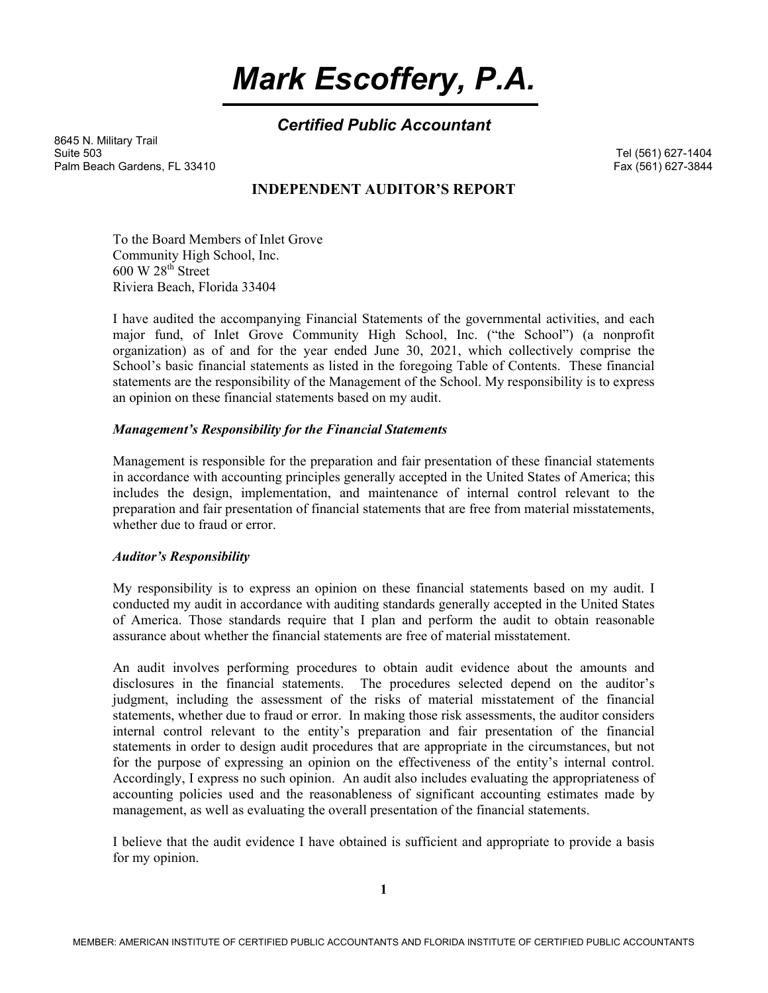*Mark Escoffery, P.A.* 

*Certified Public Accountant* 

8645 N. Military Trail Palm Beach Gardens, FL 33410

Tel (561) 627-1404<br>Fax (561) 627-3844

# **INDEPENDENT AUDITOR'S REPORT**

To the Board Members of Inlet Grove Community High School, Inc.  $600 \text{ W } 28^{\text{th}}$  Street Riviera Beach, Florida 33404

I have audited the accompanying Financial Statements of the governmental activities, and each major fund, of Inlet Grove Community High School, Inc. ("the School") (a nonprofit organization) as of and for the year ended June 30, 2021, which collectively comprise the School's basic financial statements as listed in the foregoing Table of Contents. These financial statements are the responsibility of the Management of the School. My responsibility is to express an opinion on these financial statements based on my audit.

## *Management's Responsibility for the Financial Statements*

Management is responsible for the preparation and fair presentation of these financial statements in accordance with accounting principles generally accepted in the United States of America; this includes the design, implementation, and maintenance of internal control relevant to the preparation and fair presentation of financial statements that are free from material misstatements, whether due to fraud or error.

## *Auditor's Responsibility*

My responsibility is to express an opinion on these financial statements based on my audit. I conducted my audit in accordance with auditing standards generally accepted in the United States of America. Those standards require that I plan and perform the audit to obtain reasonable assurance about whether the financial statements are free of material misstatement.

An audit involves performing procedures to obtain audit evidence about the amounts and disclosures in the financial statements. The procedures selected depend on the auditor's judgment, including the assessment of the risks of material misstatement of the financial statements, whether due to fraud or error. In making those risk assessments, the auditor considers internal control relevant to the entity's preparation and fair presentation of the financial statements in order to design audit procedures that are appropriate in the circumstances, but not for the purpose of expressing an opinion on the effectiveness of the entity's internal control. Accordingly, I express no such opinion. An audit also includes evaluating the appropriateness of accounting policies used and the reasonableness of significant accounting estimates made by management, as well as evaluating the overall presentation of the financial statements.

I believe that the audit evidence I have obtained is sufficient and appropriate to provide a basis for my opinion.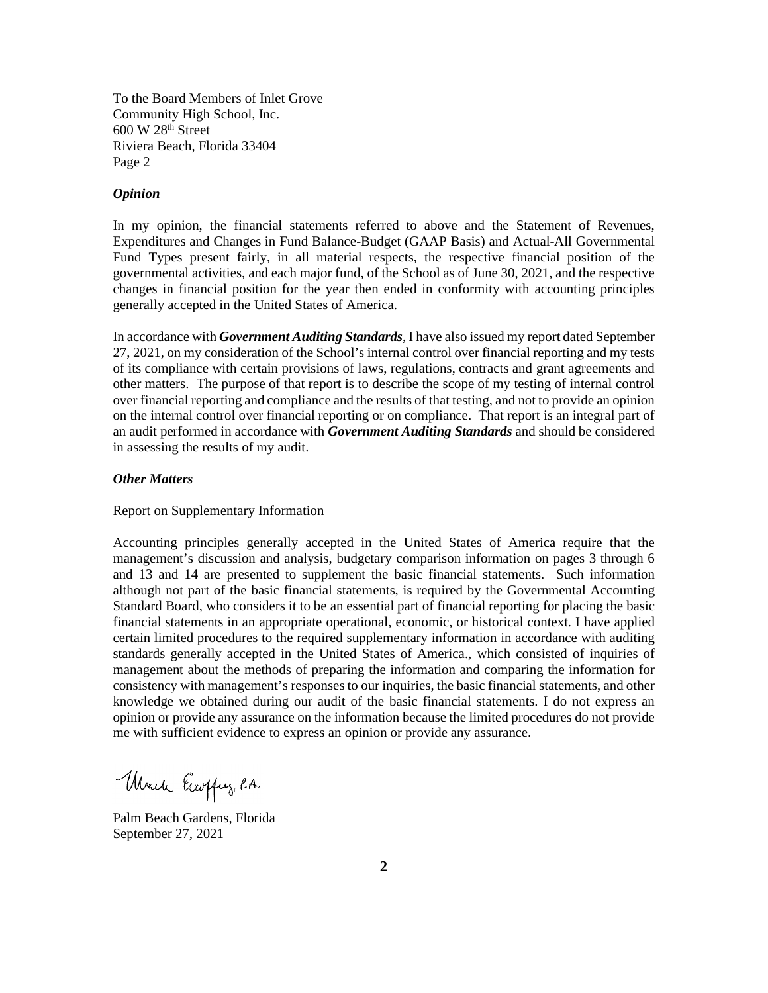To the Board Members of Inlet Grove Community High School, Inc. 600 W 28th Street Riviera Beach, Florida 33404 Page 2

#### *Opinion*

In my opinion, the financial statements referred to above and the Statement of Revenues, Expenditures and Changes in Fund Balance-Budget (GAAP Basis) and Actual-All Governmental Fund Types present fairly, in all material respects, the respective financial position of the governmental activities, and each major fund, of the School as of June 30, 2021, and the respective changes in financial position for the year then ended in conformity with accounting principles generally accepted in the United States of America.

In accordance with *Government Auditing Standards*, I have also issued my report dated September 27, 2021, on my consideration of the School's internal control over financial reporting and my tests of its compliance with certain provisions of laws, regulations, contracts and grant agreements and other matters. The purpose of that report is to describe the scope of my testing of internal control over financial reporting and compliance and the results of that testing, and not to provide an opinion on the internal control over financial reporting or on compliance. That report is an integral part of an audit performed in accordance with *Government Auditing Standards* and should be considered in assessing the results of my audit.

#### *Other Matters*

#### Report on Supplementary Information

Accounting principles generally accepted in the United States of America require that the management's discussion and analysis, budgetary comparison information on pages 3 through 6 and 13 and 14 are presented to supplement the basic financial statements. Such information although not part of the basic financial statements, is required by the Governmental Accounting Standard Board, who considers it to be an essential part of financial reporting for placing the basic financial statements in an appropriate operational, economic, or historical context. I have applied certain limited procedures to the required supplementary information in accordance with auditing standards generally accepted in the United States of America., which consisted of inquiries of management about the methods of preparing the information and comparing the information for consistency with management's responses to our inquiries, the basic financial statements, and other knowledge we obtained during our audit of the basic financial statements. I do not express an opinion or provide any assurance on the information because the limited procedures do not provide me with sufficient evidence to express an opinion or provide any assurance.

Moule Everflez, P.A.

Palm Beach Gardens, Florida September 27, 2021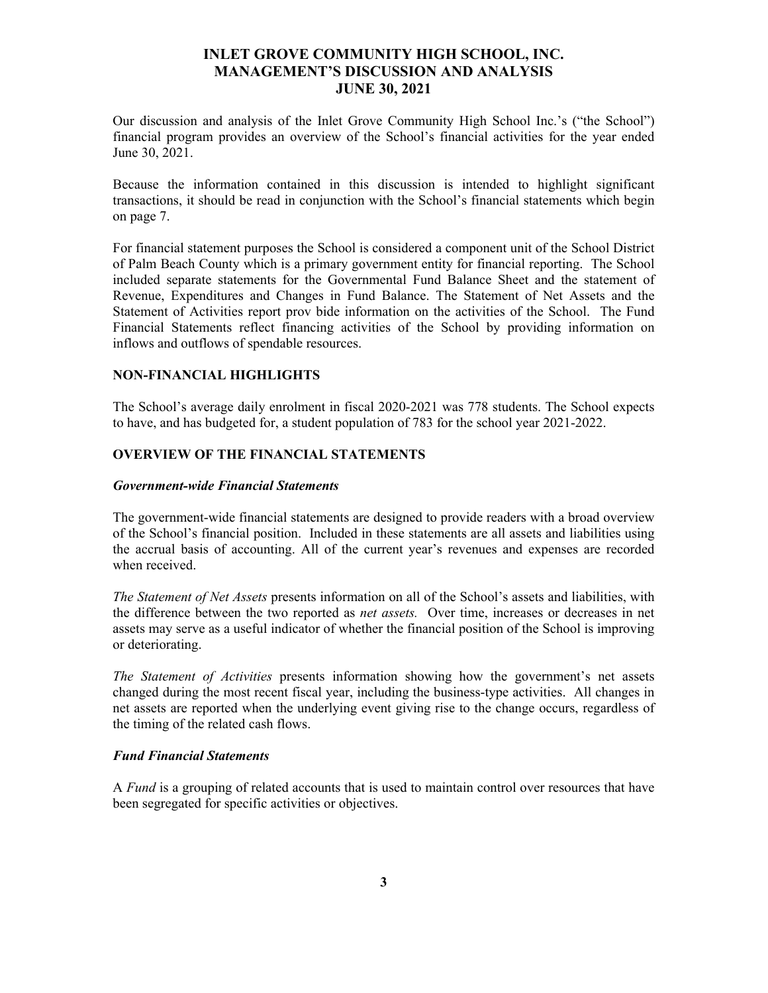Our discussion and analysis of the Inlet Grove Community High School Inc.'s ("the School") financial program provides an overview of the School's financial activities for the year ended June 30, 2021.

Because the information contained in this discussion is intended to highlight significant transactions, it should be read in conjunction with the School's financial statements which begin on page 7.

For financial statement purposes the School is considered a component unit of the School District of Palm Beach County which is a primary government entity for financial reporting. The School included separate statements for the Governmental Fund Balance Sheet and the statement of Revenue, Expenditures and Changes in Fund Balance. The Statement of Net Assets and the Statement of Activities report prov bide information on the activities of the School. The Fund Financial Statements reflect financing activities of the School by providing information on inflows and outflows of spendable resources.

## **NON-FINANCIAL HIGHLIGHTS**

The School's average daily enrolment in fiscal 2020-2021 was 778 students. The School expects to have, and has budgeted for, a student population of 783 for the school year 2021-2022.

# **OVERVIEW OF THE FINANCIAL STATEMENTS**

#### *Government-wide Financial Statements*

The government-wide financial statements are designed to provide readers with a broad overview of the School's financial position. Included in these statements are all assets and liabilities using the accrual basis of accounting. All of the current year's revenues and expenses are recorded when received.

*The Statement of Net Assets* presents information on all of the School's assets and liabilities, with the difference between the two reported as *net assets.* Over time, increases or decreases in net assets may serve as a useful indicator of whether the financial position of the School is improving or deteriorating.

*The Statement of Activities* presents information showing how the government's net assets changed during the most recent fiscal year, including the business-type activities. All changes in net assets are reported when the underlying event giving rise to the change occurs, regardless of the timing of the related cash flows.

## *Fund Financial Statements*

A *Fund* is a grouping of related accounts that is used to maintain control over resources that have been segregated for specific activities or objectives.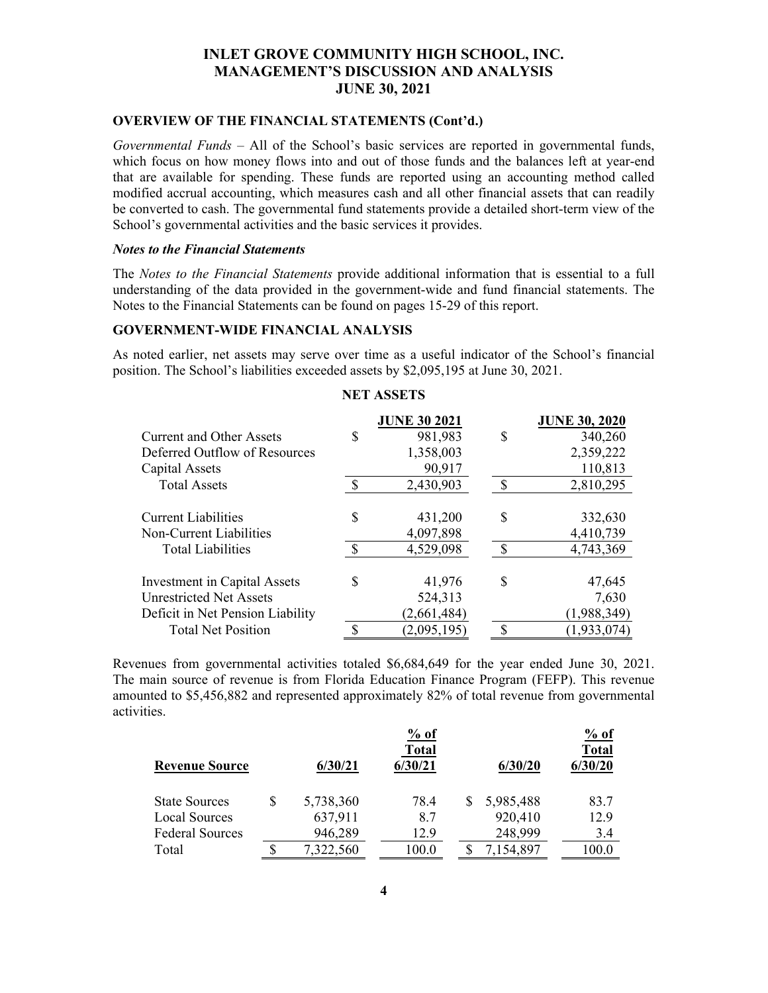## **OVERVIEW OF THE FINANCIAL STATEMENTS (Cont'd.)**

*Governmental Funds* – All of the School's basic services are reported in governmental funds, which focus on how money flows into and out of those funds and the balances left at year-end that are available for spending. These funds are reported using an accounting method called modified accrual accounting, which measures cash and all other financial assets that can readily be converted to cash. The governmental fund statements provide a detailed short-term view of the School's governmental activities and the basic services it provides.

## *Notes to the Financial Statements*

The *Notes to the Financial Statements* provide additional information that is essential to a full understanding of the data provided in the government-wide and fund financial statements. The Notes to the Financial Statements can be found on pages 15-29 of this report.

#### **GOVERNMENT-WIDE FINANCIAL ANALYSIS**

As noted earlier, net assets may serve over time as a useful indicator of the School's financial position. The School's liabilities exceeded assets by \$2,095,195 at June 30, 2021.

|                                  |               | <b>JUNE 30 2021</b> |          | <b>JUNE 30, 2020</b> |
|----------------------------------|---------------|---------------------|----------|----------------------|
| <b>Current and Other Assets</b>  | \$            | 981,983             | \$       | 340,260              |
| Deferred Outflow of Resources    |               | 1,358,003           |          | 2,359,222            |
| Capital Assets                   |               | 90,917              |          | 110,813              |
| <b>Total Assets</b>              | <sup>\$</sup> | 2,430,903           |          | 2,810,295            |
|                                  |               |                     |          |                      |
| Current Liabilities              | \$            | 431,200             | \$       | 332,630              |
| Non-Current Liabilities          |               | 4,097,898           |          | 4,410,739            |
| <b>Total Liabilities</b>         | S             | 4,529,098           |          | 4,743,369            |
|                                  |               |                     |          |                      |
| Investment in Capital Assets     | S             | 41,976              | S        | 47,645               |
| <b>Unrestricted Net Assets</b>   |               | 524,313             |          | 7,630                |
| Deficit in Net Pension Liability |               | (2,661,484)         |          | (1,988,349)          |
| <b>Total Net Position</b>        | <sup>\$</sup> | (2,095,195)         | <b>S</b> | (1,933,074)          |

## **NET ASSETS**

Revenues from governmental activities totaled \$6,684,649 for the year ended June 30, 2021. The main source of revenue is from Florida Education Finance Program (FEFP). This revenue amounted to \$5,456,882 and represented approximately 82% of total revenue from governmental activities.

| <b>Revenue Source</b>  | 6/30/21   | $%$ of<br><b>Total</b><br>6/30/21 | 6/30/20   | $%$ of<br><b>Total</b><br>6/30/20 |
|------------------------|-----------|-----------------------------------|-----------|-----------------------------------|
| <b>State Sources</b>   | 5,738,360 | 78.4                              | 5,985,488 | 83.7                              |
| <b>Local Sources</b>   | 637,911   | 8.7                               | 920,410   | 12.9                              |
| <b>Federal Sources</b> | 946,289   | 12.9                              | 248,999   | 3.4                               |
| Total                  | 7,322,560 | 100.0                             | 7,154,897 | 100.0                             |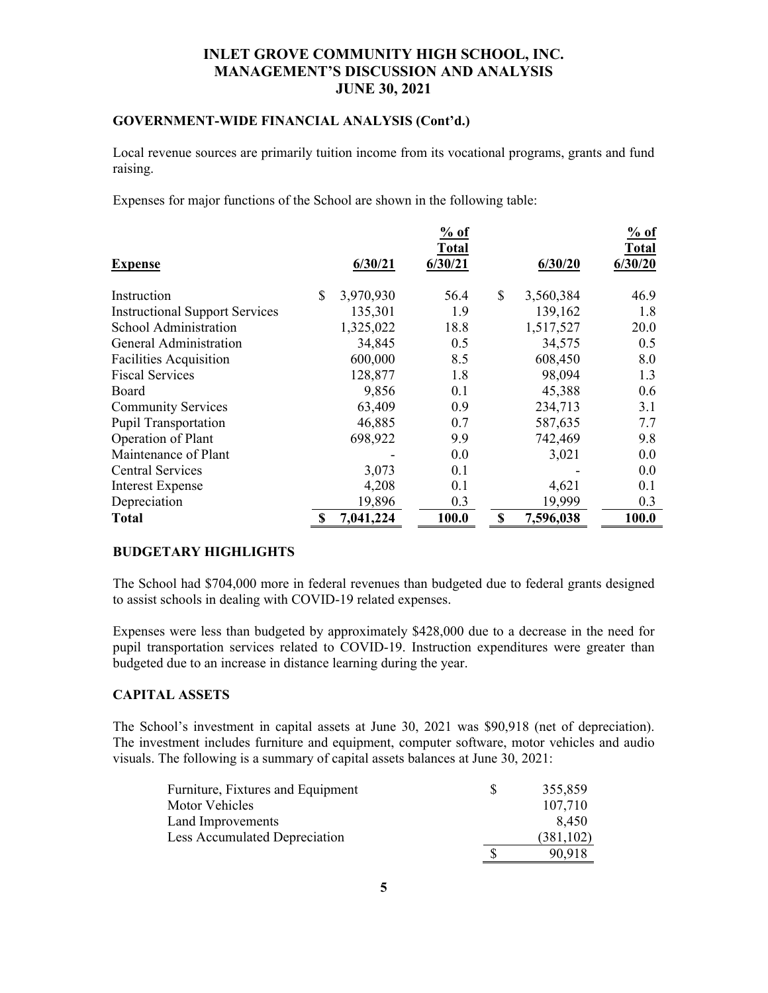## **GOVERNMENT-WIDE FINANCIAL ANALYSIS (Cont'd.)**

Local revenue sources are primarily tuition income from its vocational programs, grants and fund raising.

Expenses for major functions of the School are shown in the following table:

|                                       |                 | $%$ of       |                 | $%$ of       |
|---------------------------------------|-----------------|--------------|-----------------|--------------|
|                                       |                 | <b>Total</b> |                 | <b>Total</b> |
| <b>Expense</b>                        | 6/30/21         | 6/30/21      | 6/30/20         | 6/30/20      |
| Instruction                           | \$<br>3,970,930 | 56.4         | \$<br>3,560,384 | 46.9         |
| <b>Instructional Support Services</b> | 135,301         | 1.9          | 139,162         | 1.8          |
| School Administration                 | 1,325,022       | 18.8         | 1,517,527       | 20.0         |
| General Administration                | 34,845          | 0.5          | 34,575          | 0.5          |
| <b>Facilities Acquisition</b>         | 600,000         | 8.5          | 608,450         | 8.0          |
| <b>Fiscal Services</b>                | 128,877         | 1.8          | 98,094          | 1.3          |
| Board                                 | 9,856           | 0.1          | 45,388          | 0.6          |
| <b>Community Services</b>             | 63,409          | 0.9          | 234,713         | 3.1          |
| Pupil Transportation                  | 46,885          | 0.7          | 587,635         | 7.7          |
| Operation of Plant                    | 698,922         | 9.9          | 742,469         | 9.8          |
| Maintenance of Plant                  |                 | 0.0          | 3,021           | $0.0\,$      |
| <b>Central Services</b>               | 3,073           | 0.1          |                 | $0.0\,$      |
| <b>Interest Expense</b>               | 4,208           | 0.1          | 4,621           | 0.1          |
| Depreciation                          | 19,896          | 0.3          | 19,999          | 0.3          |
| <b>Total</b>                          | \$<br>7,041,224 | 100.0        | \$<br>7,596,038 | 100.0        |

# **BUDGETARY HIGHLIGHTS**

The School had \$704,000 more in federal revenues than budgeted due to federal grants designed to assist schools in dealing with COVID-19 related expenses.

Expenses were less than budgeted by approximately \$428,000 due to a decrease in the need for pupil transportation services related to COVID-19. Instruction expenditures were greater than budgeted due to an increase in distance learning during the year.

## **CAPITAL ASSETS**

The School's investment in capital assets at June 30, 2021 was \$90,918 (net of depreciation). The investment includes furniture and equipment, computer software, motor vehicles and audio visuals. The following is a summary of capital assets balances at June 30, 2021:

| Furniture, Fixtures and Equipment    | 355,859    |
|--------------------------------------|------------|
| Motor Vehicles                       | 107.710    |
| Land Improvements                    | 8.450      |
| <b>Less Accumulated Depreciation</b> | (381, 102) |
|                                      | 90.918     |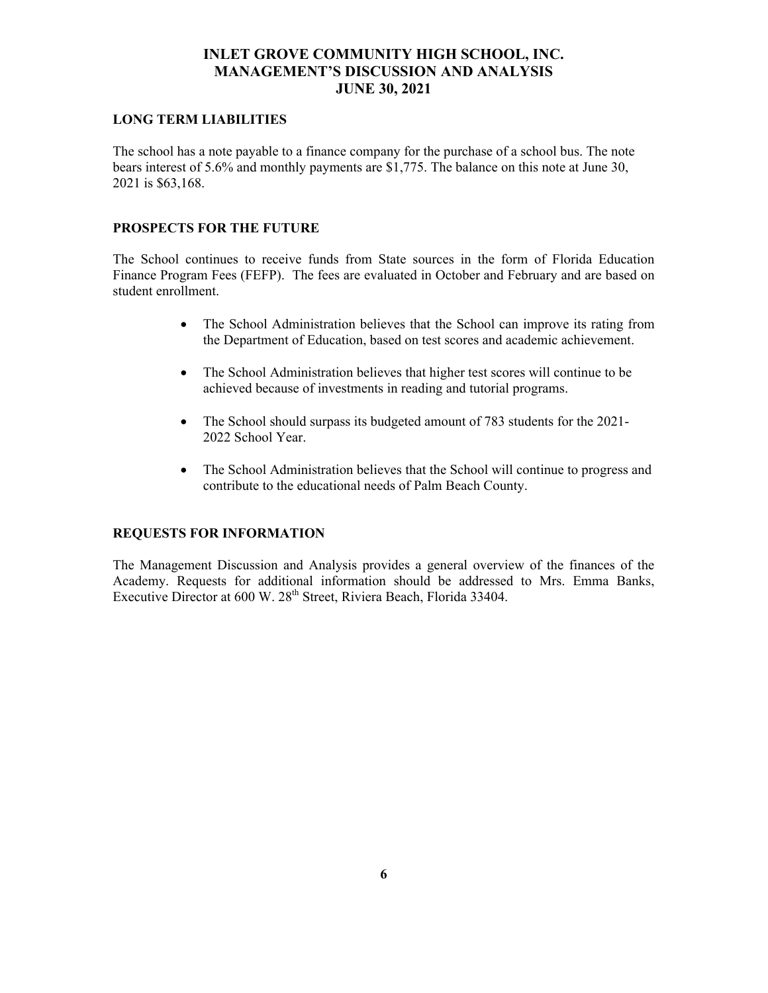#### **LONG TERM LIABILITIES**

The school has a note payable to a finance company for the purchase of a school bus. The note bears interest of 5.6% and monthly payments are \$1,775. The balance on this note at June 30, 2021 is \$63,168.

## **PROSPECTS FOR THE FUTURE**

The School continues to receive funds from State sources in the form of Florida Education Finance Program Fees (FEFP). The fees are evaluated in October and February and are based on student enrollment.

- The School Administration believes that the School can improve its rating from the Department of Education, based on test scores and academic achievement.
- The School Administration believes that higher test scores will continue to be achieved because of investments in reading and tutorial programs.
- The School should surpass its budgeted amount of 783 students for the 2021-2022 School Year.
- The School Administration believes that the School will continue to progress and contribute to the educational needs of Palm Beach County.

## **REQUESTS FOR INFORMATION**

The Management Discussion and Analysis provides a general overview of the finances of the Academy. Requests for additional information should be addressed to Mrs. Emma Banks, Executive Director at 600 W. 28<sup>th</sup> Street, Riviera Beach, Florida 33404.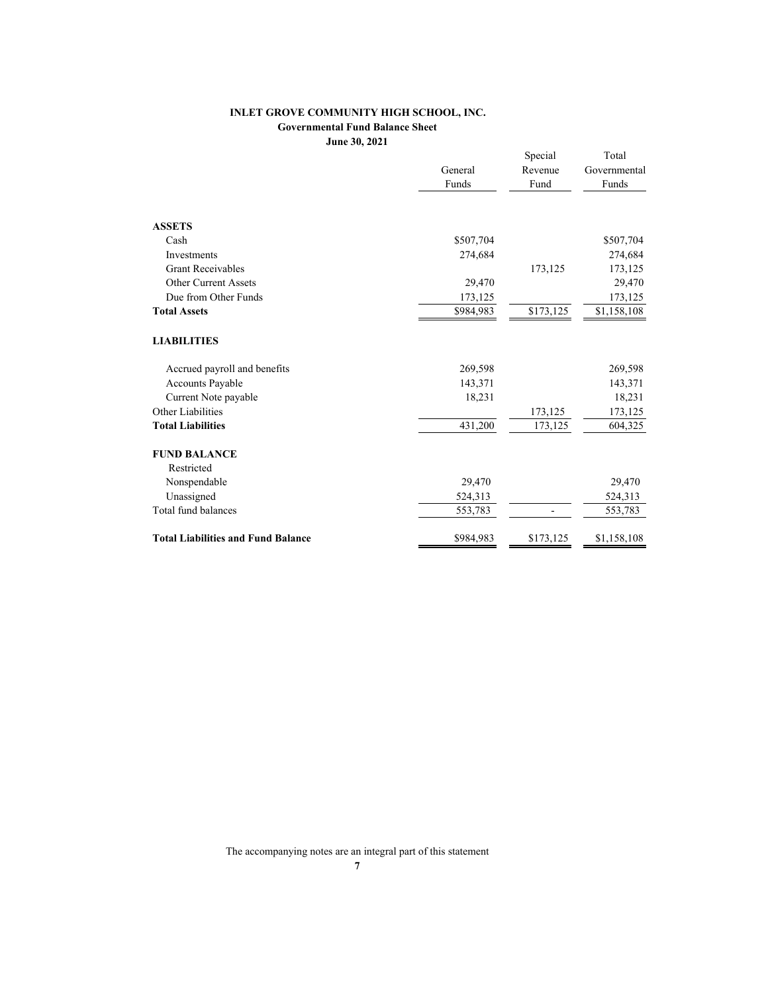# **INLET GROVE COMMUNITY HIGH SCHOOL, INC. Governmental Fund Balance Sheet**

**June 30, 2021**

|                                           |           | Special   | Total        |
|-------------------------------------------|-----------|-----------|--------------|
|                                           | General   | Revenue   | Governmental |
|                                           | Funds     | Fund      | Funds        |
|                                           |           |           |              |
| <b>ASSETS</b>                             |           |           |              |
| Cash                                      | \$507,704 |           | \$507,704    |
| Investments                               | 274,684   |           | 274,684      |
| <b>Grant Receivables</b>                  |           | 173,125   | 173,125      |
| <b>Other Current Assets</b>               | 29,470    |           | 29,470       |
| Due from Other Funds                      | 173,125   |           | 173,125      |
| <b>Total Assets</b>                       | \$984,983 | \$173,125 | \$1,158,108  |
| <b>LIABILITIES</b>                        |           |           |              |
| Accrued payroll and benefits              | 269,598   |           | 269,598      |
| Accounts Payable                          | 143,371   |           | 143,371      |
| Current Note payable                      | 18,231    |           | 18,231       |
| Other Liabilities                         |           | 173,125   | 173,125      |
| <b>Total Liabilities</b>                  | 431,200   | 173,125   | 604,325      |
| <b>FUND BALANCE</b>                       |           |           |              |
| Restricted                                |           |           |              |
| Nonspendable                              | 29,470    |           | 29,470       |
| Unassigned                                | 524,313   |           | 524,313      |
| Total fund balances                       | 553,783   |           | 553,783      |
| <b>Total Liabilities and Fund Balance</b> | \$984,983 | \$173,125 | \$1,158,108  |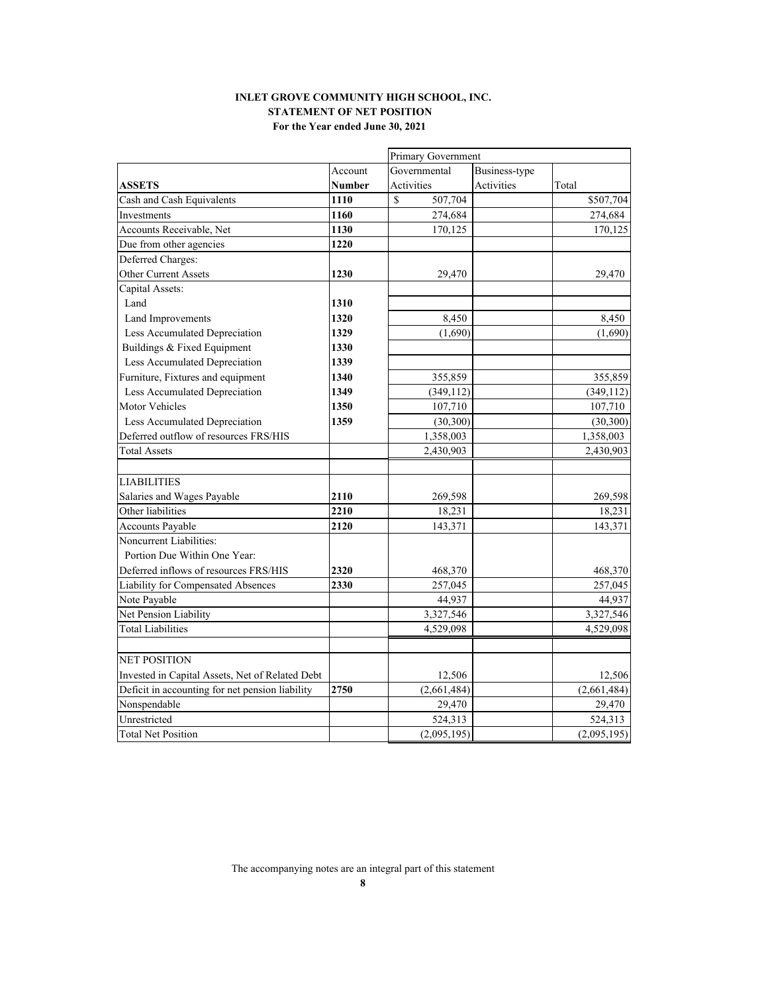#### **INLET GROVE COMMUNITY HIGH SCHOOL, INC. STATEMENT OF NET POSITION For the Year ended June 30, 2021**

| Primary Government                              |               |                   |               |             |
|-------------------------------------------------|---------------|-------------------|---------------|-------------|
|                                                 | Account       | Governmental      | Business-type |             |
| <b>ASSETS</b>                                   | <b>Number</b> | <b>Activities</b> | Activities    | Total       |
| Cash and Cash Equivalents                       | 1110          | \$<br>507,704     |               | \$507,704   |
| Investments                                     | 1160          | 274,684           |               | 274,684     |
| Accounts Receivable, Net                        | 1130          | 170,125           |               | 170,125     |
| Due from other agencies                         | 1220          |                   |               |             |
| Deferred Charges:                               |               |                   |               |             |
| Other Current Assets                            | 1230          | 29,470            |               | 29,470      |
| Capital Assets:                                 |               |                   |               |             |
| Land                                            | 1310          |                   |               |             |
| Land Improvements                               | 1320          | 8,450             |               | 8,450       |
| Less Accumulated Depreciation                   | 1329          | (1,690)           |               | (1,690)     |
| Buildings & Fixed Equipment                     | 1330          |                   |               |             |
| Less Accumulated Depreciation                   | 1339          |                   |               |             |
| Furniture, Fixtures and equipment               | 1340          | 355,859           |               | 355,859     |
| Less Accumulated Depreciation                   | 1349          | (349, 112)        |               | (349, 112)  |
| Motor Vehicles                                  | 1350          | 107,710           |               | 107,710     |
| Less Accumulated Depreciation                   | 1359          | (30, 300)         |               | (30, 300)   |
| Deferred outflow of resources FRS/HIS           |               | 1,358,003         |               | 1,358,003   |
| <b>Total Assets</b>                             |               | 2,430,903         |               | 2,430,903   |
|                                                 |               |                   |               |             |
| <b>LIABILITIES</b>                              |               |                   |               |             |
| Salaries and Wages Payable                      | 2110          | 269,598           |               | 269,598     |
| Other liabilities                               | 2210          | 18,231            |               | 18,231      |
| <b>Accounts Payable</b>                         | 2120          | 143,371           |               | 143,371     |
| Noncurrent Liabilities:                         |               |                   |               |             |
| Portion Due Within One Year:                    |               |                   |               |             |
| Deferred inflows of resources FRS/HIS           | 2320          | 468,370           |               | 468,370     |
| Liability for Compensated Absences              | 2330          | 257,045           |               | 257,045     |
| Note Payable                                    |               | 44,937            |               | 44,937      |
| Net Pension Liability                           |               | 3,327,546         |               | 3,327,546   |
| <b>Total Liabilities</b>                        |               | 4,529,098         |               | 4,529,098   |
|                                                 |               |                   |               |             |
| <b>NET POSITION</b>                             |               |                   |               |             |
| Invested in Capital Assets, Net of Related Debt |               | 12,506            |               | 12,506      |
| Deficit in accounting for net pension liability | 2750          | (2,661,484)       |               | (2,661,484) |
| Nonspendable                                    |               | 29,470            |               | 29,470      |
| Unrestricted                                    |               | 524,313           |               | 524,313     |
| <b>Total Net Position</b>                       |               | (2,095,195)       |               | (2,095,195) |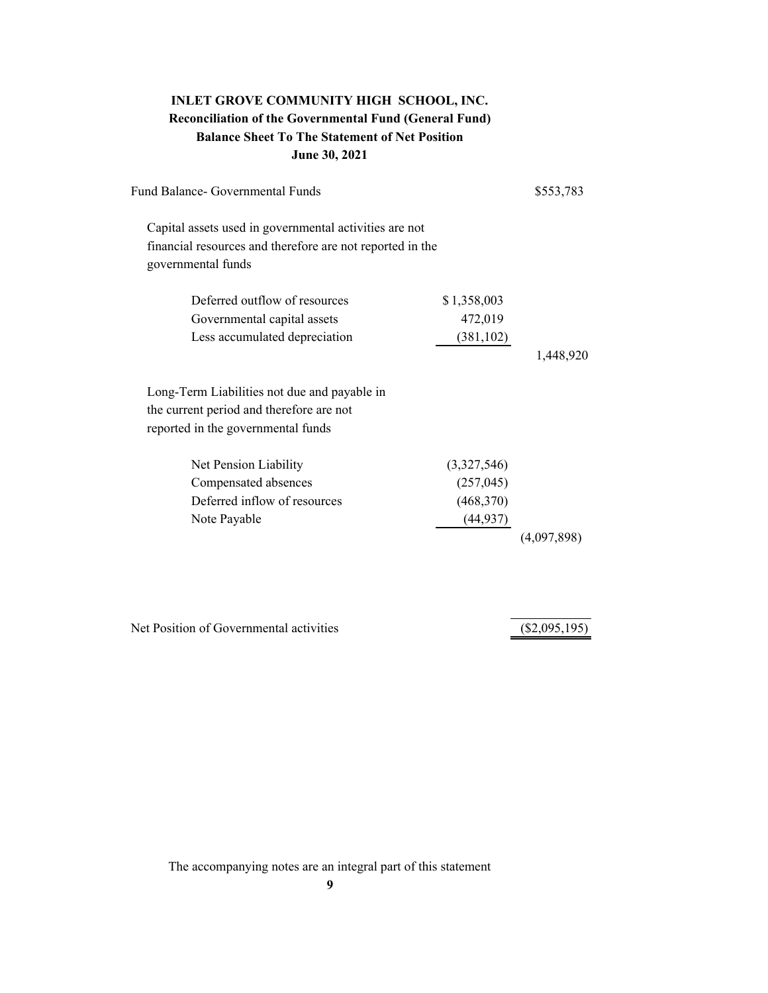# **INLET GROVE COMMUNITY HIGH SCHOOL, INC. Reconciliation of the Governmental Fund (General Fund) Balance Sheet To The Statement of Net Position June 30, 2021**

| Capital assets used in governmental activities are not<br>financial resources and therefore are not reported in the<br>governmental funds<br>Deferred outflow of resources<br>\$1,358,003<br>Governmental capital assets<br>472,019<br>Less accumulated depreciation<br>(381, 102)<br>1,448,920 | \$553,783 |
|-------------------------------------------------------------------------------------------------------------------------------------------------------------------------------------------------------------------------------------------------------------------------------------------------|-----------|
|                                                                                                                                                                                                                                                                                                 |           |
|                                                                                                                                                                                                                                                                                                 |           |
|                                                                                                                                                                                                                                                                                                 |           |
| Long-Term Liabilities not due and payable in<br>the current period and therefore are not<br>reported in the governmental funds                                                                                                                                                                  |           |
| Net Pension Liability<br>(3,327,546)                                                                                                                                                                                                                                                            |           |
| Compensated absences<br>(257, 045)                                                                                                                                                                                                                                                              |           |
| Deferred inflow of resources<br>(468,370)                                                                                                                                                                                                                                                       |           |
| Note Payable<br>(44, 937)                                                                                                                                                                                                                                                                       |           |
| (4,097,898)                                                                                                                                                                                                                                                                                     |           |
|                                                                                                                                                                                                                                                                                                 |           |

Net Position of Governmental activities (\$2,095,195)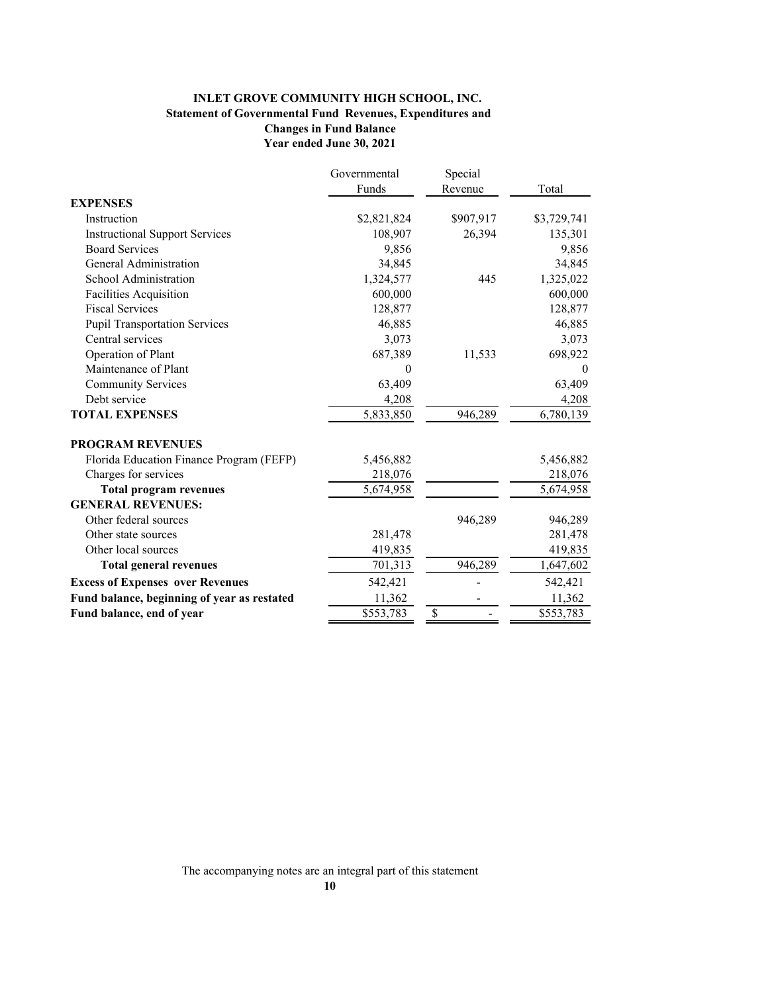## **INLET GROVE COMMUNITY HIGH SCHOOL, INC. Statement of Governmental Fund Revenues, Expenditures and Changes in Fund Balance Year ended June 30, 2021**

|                                             | Governmental | Special   |             |
|---------------------------------------------|--------------|-----------|-------------|
|                                             | Funds        | Revenue   | Total       |
| <b>EXPENSES</b>                             |              |           |             |
| Instruction                                 | \$2,821,824  | \$907,917 | \$3,729,741 |
| <b>Instructional Support Services</b>       | 108,907      | 26,394    | 135,301     |
| <b>Board Services</b>                       | 9,856        |           | 9,856       |
| General Administration                      | 34,845       |           | 34,845      |
| School Administration                       | 1,324,577    | 445       | 1,325,022   |
| Facilities Acquisition                      | 600,000      |           | 600,000     |
| <b>Fiscal Services</b>                      | 128,877      |           | 128,877     |
| <b>Pupil Transportation Services</b>        | 46,885       |           | 46,885      |
| Central services                            | 3,073        |           | 3,073       |
| Operation of Plant                          | 687,389      | 11,533    | 698,922     |
| Maintenance of Plant                        | 0            |           | 0           |
| <b>Community Services</b>                   | 63,409       |           | 63,409      |
| Debt service                                | 4,208        |           | 4,208       |
| <b>TOTAL EXPENSES</b>                       | 5,833,850    | 946,289   | 6,780,139   |
| <b>PROGRAM REVENUES</b>                     |              |           |             |
| Florida Education Finance Program (FEFP)    | 5,456,882    |           | 5,456,882   |
| Charges for services                        | 218,076      |           | 218,076     |
| <b>Total program revenues</b>               | 5,674,958    |           | 5,674,958   |
| <b>GENERAL REVENUES:</b>                    |              |           |             |
| Other federal sources                       |              | 946,289   | 946,289     |
| Other state sources                         | 281,478      |           | 281,478     |
| Other local sources                         | 419,835      |           | 419,835     |
| <b>Total general revenues</b>               | 701,313      | 946,289   | 1,647,602   |
| <b>Excess of Expenses over Revenues</b>     | 542,421      |           | 542,421     |
| Fund balance, beginning of year as restated | 11,362       |           | 11,362      |
| Fund balance, end of year                   | \$553,783    | \$        | \$553,783   |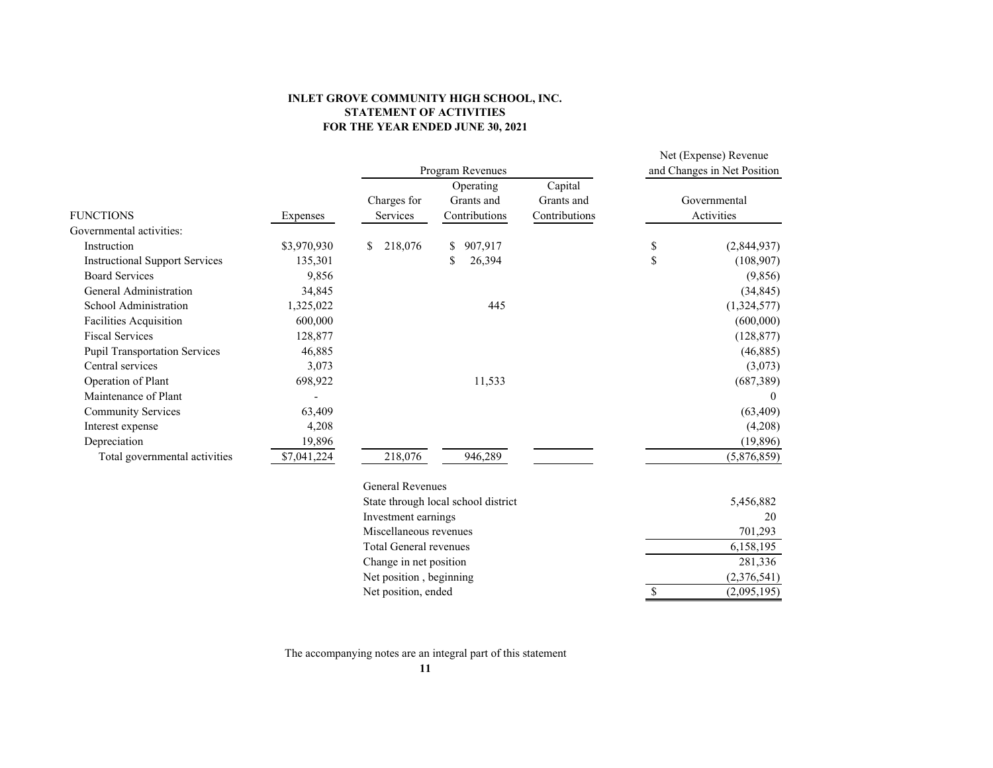#### **INLET GROVE COMMUNITY HIGH SCHOOL, INC. STATEMENT OF ACTIVITIES FOR THE YEAR ENDED JUNE 30, 2021**

|                                       |             |                               | Program Revenues                         |                                        | Net (Expense) Revenue<br>and Changes in Net Position |
|---------------------------------------|-------------|-------------------------------|------------------------------------------|----------------------------------------|------------------------------------------------------|
| <b>FUNCTIONS</b>                      | Expenses    | Charges for<br>Services       | Operating<br>Grants and<br>Contributions | Capital<br>Grants and<br>Contributions | Governmental<br>Activities                           |
| Governmental activities:              |             |                               |                                          |                                        |                                                      |
| Instruction                           | \$3,970,930 | 218,076<br>\$                 | 907,917<br>\$                            |                                        | \$<br>(2,844,937)                                    |
| <b>Instructional Support Services</b> | 135,301     |                               | \$<br>26,394                             |                                        | \$<br>(108,907)                                      |
| <b>Board Services</b>                 | 9,856       |                               |                                          |                                        | (9,856)                                              |
| General Administration                | 34,845      |                               |                                          |                                        | (34, 845)                                            |
| School Administration                 | 1,325,022   |                               | 445                                      |                                        | (1,324,577)                                          |
| Facilities Acquisition                | 600,000     |                               |                                          |                                        | (600,000)                                            |
| <b>Fiscal Services</b>                | 128,877     |                               |                                          |                                        | (128, 877)                                           |
| <b>Pupil Transportation Services</b>  | 46,885      |                               |                                          |                                        | (46,885)                                             |
| Central services                      | 3,073       |                               |                                          |                                        | (3,073)                                              |
| Operation of Plant                    | 698,922     |                               | 11,533                                   |                                        | (687, 389)                                           |
| Maintenance of Plant                  |             |                               |                                          |                                        | 0                                                    |
| <b>Community Services</b>             | 63,409      |                               |                                          |                                        | (63, 409)                                            |
| Interest expense                      | 4,208       |                               |                                          |                                        | (4,208)                                              |
| Depreciation                          | 19,896      |                               |                                          |                                        | (19,896)                                             |
| Total governmental activities         | \$7,041,224 | 218,076                       | 946,289                                  |                                        | (5,876,859)                                          |
|                                       |             | <b>General Revenues</b>       |                                          |                                        |                                                      |
|                                       |             |                               | State through local school district      |                                        | 5,456,882                                            |
|                                       |             | Investment earnings           |                                          |                                        | 20                                                   |
|                                       |             | Miscellaneous revenues        |                                          |                                        | 701,293                                              |
|                                       |             | <b>Total General revenues</b> |                                          |                                        | 6,158,195                                            |
|                                       |             | Change in net position        |                                          |                                        | 281,336                                              |
|                                       |             | Net position, beginning       |                                          |                                        | (2,376,541)                                          |
|                                       |             | Net position, ended           |                                          |                                        | \$<br>(2,095,195)                                    |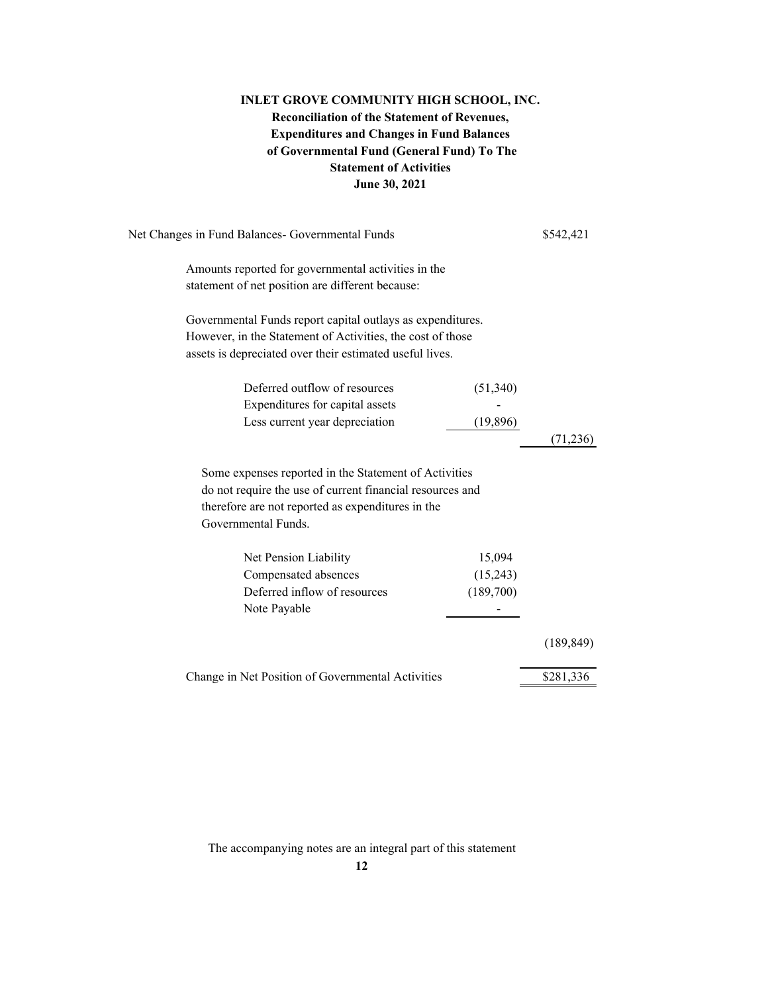# **INLET GROVE COMMUNITY HIGH SCHOOL, INC. Reconciliation of the Statement of Revenues, Expenditures and Changes in Fund Balances of Governmental Fund (General Fund) To The Statement of Activities June 30, 2021**

|                     | Net Changes in Fund Balances- Governmental Funds           |           | \$542,421  |
|---------------------|------------------------------------------------------------|-----------|------------|
|                     | Amounts reported for governmental activities in the        |           |            |
|                     | statement of net position are different because:           |           |            |
|                     | Governmental Funds report capital outlays as expenditures. |           |            |
|                     | However, in the Statement of Activities, the cost of those |           |            |
|                     | assets is depreciated over their estimated useful lives.   |           |            |
|                     | Deferred outflow of resources                              | (51,340)  |            |
|                     | Expenditures for capital assets                            |           |            |
|                     | Less current year depreciation                             | (19,896)  |            |
|                     |                                                            |           | (71, 236)  |
|                     | Some expenses reported in the Statement of Activities      |           |            |
|                     | do not require the use of current financial resources and  |           |            |
|                     | therefore are not reported as expenditures in the          |           |            |
| Governmental Funds. |                                                            |           |            |
|                     | Net Pension Liability                                      | 15,094    |            |
|                     | Compensated absences                                       | (15,243)  |            |
|                     | Deferred inflow of resources                               | (189,700) |            |
|                     | Note Payable                                               |           |            |
|                     |                                                            |           | (189, 849) |
|                     | Change in Net Position of Governmental Activities          |           | \$281,336  |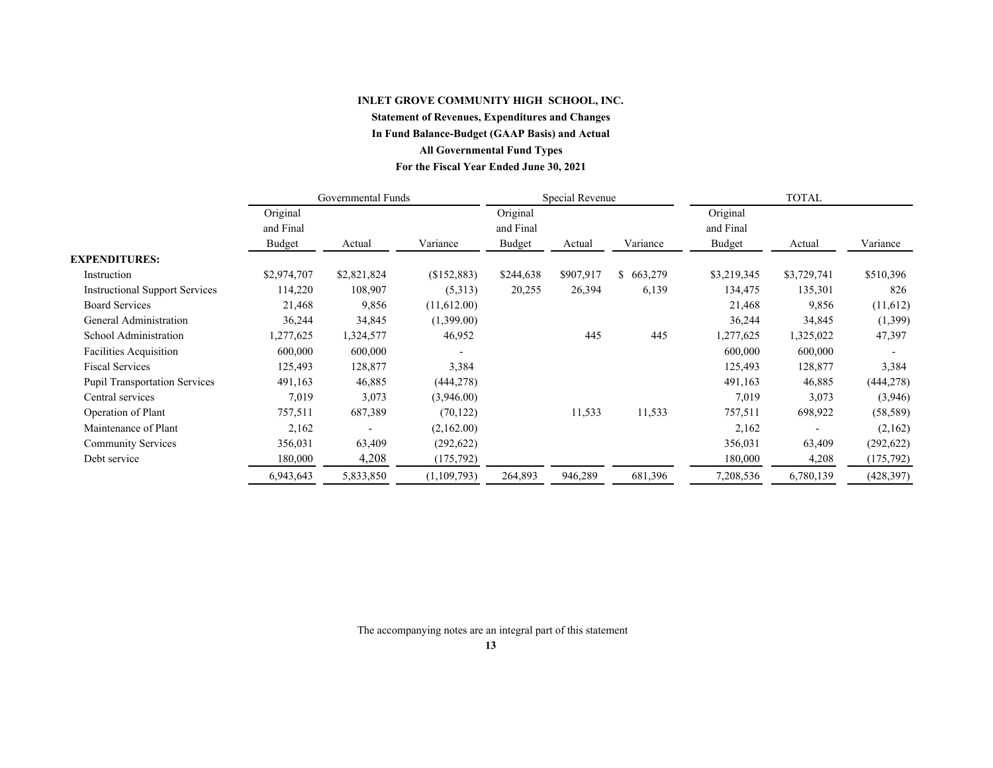## **INLET GROVE COMMUNITY HIGH SCHOOL, INC.**

**Statement of Revenues, Expenditures and Changes**

**In Fund Balance-Budget (GAAP Basis) and Actual**

#### **All Governmental Fund Types**

**For the Fiscal Year Ended June 30, 2021**

|                                       |             | Governmental Funds       |             | Special Revenue |           |               | <b>TOTAL</b> |             |            |
|---------------------------------------|-------------|--------------------------|-------------|-----------------|-----------|---------------|--------------|-------------|------------|
|                                       | Original    |                          |             | Original        |           |               | Original     |             |            |
|                                       | and Final   |                          |             | and Final       |           |               | and Final    |             |            |
|                                       | Budget      | Actual                   | Variance    | Budget          | Actual    | Variance      | Budget       | Actual      | Variance   |
| <b>EXPENDITURES:</b>                  |             |                          |             |                 |           |               |              |             |            |
| Instruction                           | \$2,974,707 | \$2,821,824              | (\$152,883) | \$244,638       | \$907,917 | 663,279<br>S. | \$3,219,345  | \$3,729,741 | \$510,396  |
| <b>Instructional Support Services</b> | 114,220     | 108,907                  | (5,313)     | 20,255          | 26,394    | 6,139         | 134,475      | 135,301     | 826        |
| <b>Board Services</b>                 | 21,468      | 9,856                    | (11,612.00) |                 |           |               | 21,468       | 9,856       | (11,612)   |
| General Administration                | 36,244      | 34,845                   | (1,399.00)  |                 |           |               | 36,244       | 34,845      | (1,399)    |
| School Administration                 | 1,277,625   | 1,324,577                | 46,952      |                 | 445       | 445           | 1,277,625    | 1,325,022   | 47,397     |
| Facilities Acquisition                | 600,000     | 600,000                  |             |                 |           |               | 600,000      | 600,000     |            |
| <b>Fiscal Services</b>                | 125,493     | 128,877                  | 3,384       |                 |           |               | 125,493      | 128,877     | 3,384      |
| <b>Pupil Transportation Services</b>  | 491,163     | 46,885                   | (444, 278)  |                 |           |               | 491,163      | 46,885      | (444, 278) |
| Central services                      | 7,019       | 3,073                    | (3,946.00)  |                 |           |               | 7,019        | 3,073       | (3,946)    |
| Operation of Plant                    | 757,511     | 687,389                  | (70, 122)   |                 | 11,533    | 11,533        | 757,511      | 698,922     | (58, 589)  |
| Maintenance of Plant                  | 2,162       | $\overline{\phantom{a}}$ | (2,162.00)  |                 |           |               | 2,162        |             | (2,162)    |
| <b>Community Services</b>             | 356,031     | 63,409                   | (292, 622)  |                 |           |               | 356,031      | 63,409      | (292, 622) |
| Debt service                          | 180,000     | 4,208                    | (175, 792)  |                 |           |               | 180,000      | 4,208       | (175, 792) |
|                                       | 6,943,643   | 5,833,850                | (1,109,793) | 264,893         | 946,289   | 681,396       | 7,208,536    | 6,780,139   | (428, 397) |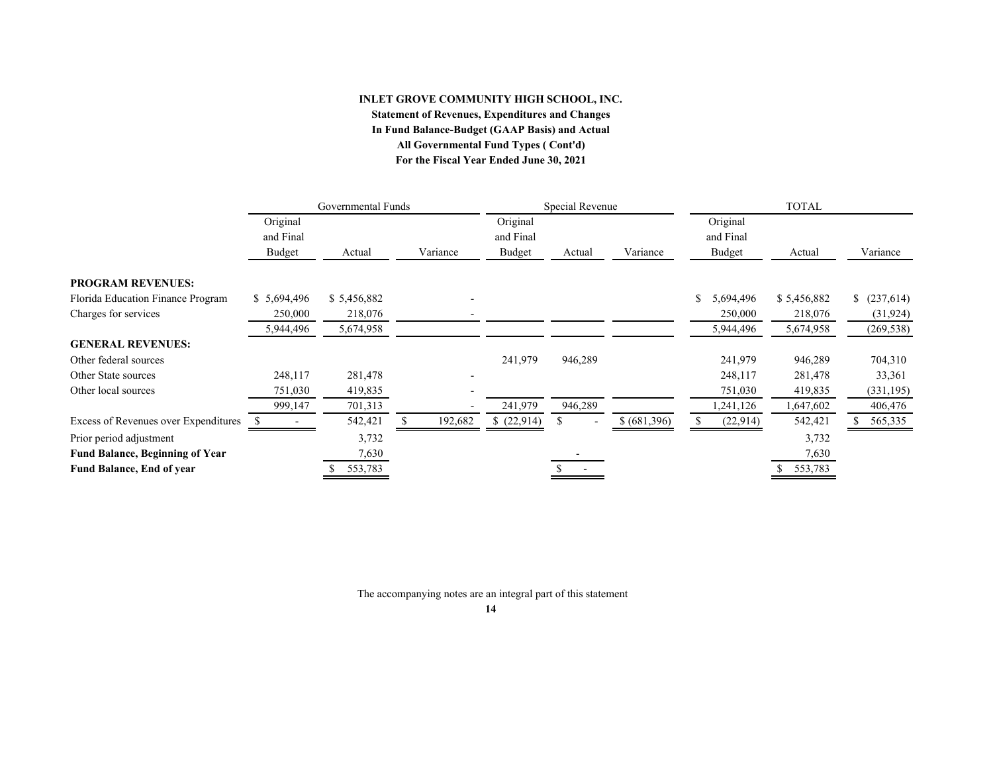#### **INLET GROVE COMMUNITY HIGH SCHOOL, INC.**

**Statement of Revenues, Expenditures and Changes**

**In Fund Balance-Budget (GAAP Basis) and Actual**

**All Governmental Fund Types ( Cont'd)**

**For the Fiscal Year Ended June 30, 2021**

|                                        |               | Governmental Funds |          |               | Special Revenue |              |                 | <b>TOTAL</b> |              |  |
|----------------------------------------|---------------|--------------------|----------|---------------|-----------------|--------------|-----------------|--------------|--------------|--|
|                                        | Original      |                    |          | Original      |                 |              | Original        |              |              |  |
|                                        | and Final     |                    |          | and Final     |                 |              | and Final       |              |              |  |
|                                        | <b>Budget</b> | Actual             | Variance | <b>Budget</b> | Actual          | Variance     | Budget          | Actual       | Variance     |  |
| <b>PROGRAM REVENUES:</b>               |               |                    |          |               |                 |              |                 |              |              |  |
| Florida Education Finance Program      | \$ 5,694,496  | \$5,456,882        |          |               |                 |              | \$<br>5,694,496 | \$5,456,882  | \$ (237,614) |  |
| Charges for services                   | 250,000       | 218,076            |          |               |                 |              | 250,000         | 218,076      | (31, 924)    |  |
|                                        | 5,944,496     | 5,674,958          |          |               |                 |              | 5,944,496       | 5,674,958    | (269, 538)   |  |
| <b>GENERAL REVENUES:</b>               |               |                    |          |               |                 |              |                 |              |              |  |
| Other federal sources                  |               |                    |          | 241,979       | 946,289         |              | 241,979         | 946,289      | 704,310      |  |
| Other State sources                    | 248,117       | 281,478            |          |               |                 |              | 248,117         | 281,478      | 33,361       |  |
| Other local sources                    | 751,030       | 419,835            |          |               |                 |              | 751,030         | 419,835      | (331, 195)   |  |
|                                        | 999,147       | 701,313            |          | 241,979       | 946,289         |              | 1,241,126       | 1,647,602    | 406,476      |  |
| Excess of Revenues over Expenditures   |               | 542,421            | 192,682  | \$(22,914)    | S               | \$ (681,396) | (22, 914)       | 542,421      | 565,335      |  |
| Prior period adjustment                |               | 3,732              |          |               |                 |              |                 | 3,732        |              |  |
| <b>Fund Balance, Beginning of Year</b> |               | 7,630              |          |               |                 |              |                 | 7,630        |              |  |
| <b>Fund Balance, End of year</b>       |               | 553,783            |          |               |                 |              |                 | 553,783      |              |  |

The accompanying notes are an integral part of this statement

**14**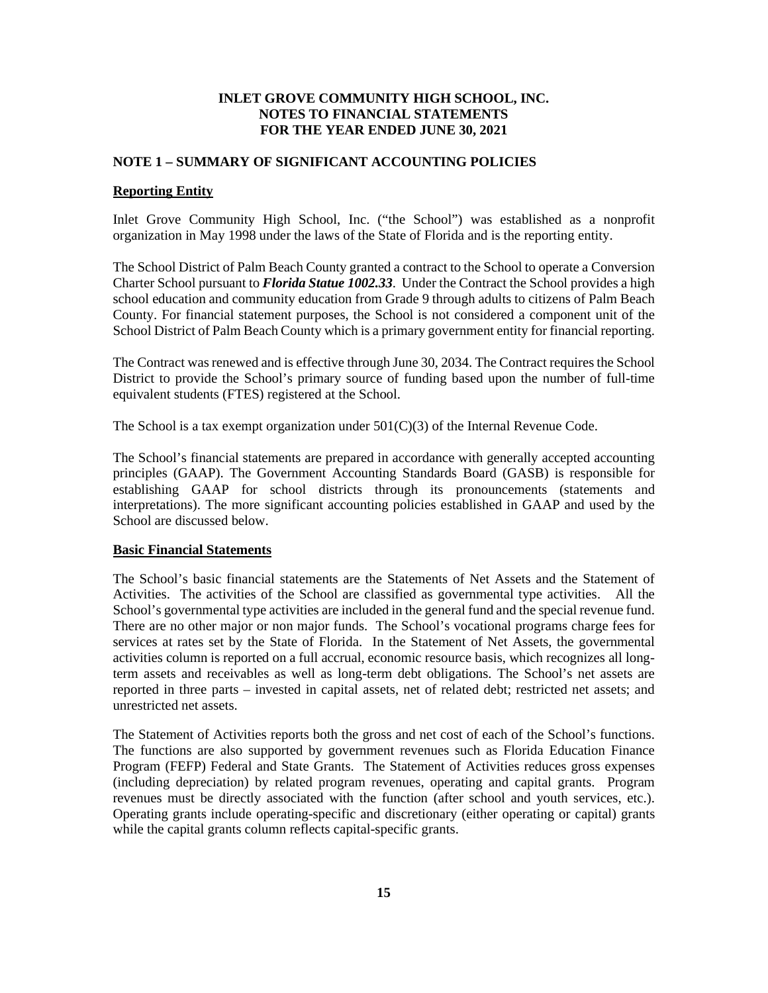#### **NOTE 1 – SUMMARY OF SIGNIFICANT ACCOUNTING POLICIES**

#### **Reporting Entity**

Inlet Grove Community High School, Inc. ("the School") was established as a nonprofit organization in May 1998 under the laws of the State of Florida and is the reporting entity.

The School District of Palm Beach County granted a contract to the School to operate a Conversion Charter School pursuant to *Florida Statue 1002.33*. Under the Contract the School provides a high school education and community education from Grade 9 through adults to citizens of Palm Beach County. For financial statement purposes, the School is not considered a component unit of the School District of Palm Beach County which is a primary government entity for financial reporting.

The Contract was renewed and is effective through June 30, 2034. The Contract requires the School District to provide the School's primary source of funding based upon the number of full-time equivalent students (FTES) registered at the School.

The School is a tax exempt organization under  $501(C)(3)$  of the Internal Revenue Code.

The School's financial statements are prepared in accordance with generally accepted accounting principles (GAAP). The Government Accounting Standards Board (GASB) is responsible for establishing GAAP for school districts through its pronouncements (statements and interpretations). The more significant accounting policies established in GAAP and used by the School are discussed below.

#### **Basic Financial Statements**

The School's basic financial statements are the Statements of Net Assets and the Statement of Activities. The activities of the School are classified as governmental type activities. All the School's governmental type activities are included in the general fund and the special revenue fund. There are no other major or non major funds. The School's vocational programs charge fees for services at rates set by the State of Florida. In the Statement of Net Assets, the governmental activities column is reported on a full accrual, economic resource basis, which recognizes all longterm assets and receivables as well as long-term debt obligations. The School's net assets are reported in three parts – invested in capital assets, net of related debt; restricted net assets; and unrestricted net assets.

The Statement of Activities reports both the gross and net cost of each of the School's functions. The functions are also supported by government revenues such as Florida Education Finance Program (FEFP) Federal and State Grants. The Statement of Activities reduces gross expenses (including depreciation) by related program revenues, operating and capital grants. Program revenues must be directly associated with the function (after school and youth services, etc.). Operating grants include operating-specific and discretionary (either operating or capital) grants while the capital grants column reflects capital-specific grants.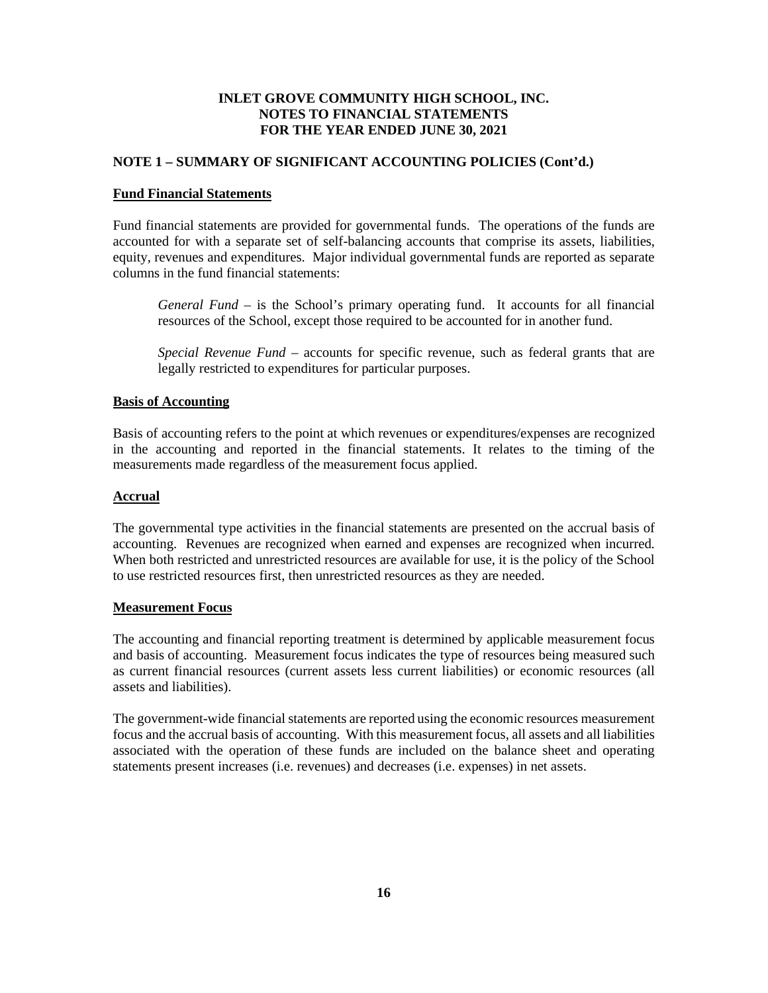## **NOTE 1 – SUMMARY OF SIGNIFICANT ACCOUNTING POLICIES (Cont'd.)**

#### **Fund Financial Statements**

Fund financial statements are provided for governmental funds. The operations of the funds are accounted for with a separate set of self-balancing accounts that comprise its assets, liabilities, equity, revenues and expenditures. Major individual governmental funds are reported as separate columns in the fund financial statements:

*General Fund* – is the School's primary operating fund. It accounts for all financial resources of the School, except those required to be accounted for in another fund.

*Special Revenue Fund* – accounts for specific revenue, such as federal grants that are legally restricted to expenditures for particular purposes.

#### **Basis of Accounting**

Basis of accounting refers to the point at which revenues or expenditures/expenses are recognized in the accounting and reported in the financial statements. It relates to the timing of the measurements made regardless of the measurement focus applied.

#### **Accrual**

The governmental type activities in the financial statements are presented on the accrual basis of accounting. Revenues are recognized when earned and expenses are recognized when incurred. When both restricted and unrestricted resources are available for use, it is the policy of the School to use restricted resources first, then unrestricted resources as they are needed.

#### **Measurement Focus**

The accounting and financial reporting treatment is determined by applicable measurement focus and basis of accounting. Measurement focus indicates the type of resources being measured such as current financial resources (current assets less current liabilities) or economic resources (all assets and liabilities).

The government-wide financial statements are reported using the economic resources measurement focus and the accrual basis of accounting. With this measurement focus, all assets and all liabilities associated with the operation of these funds are included on the balance sheet and operating statements present increases (i.e. revenues) and decreases (i.e. expenses) in net assets.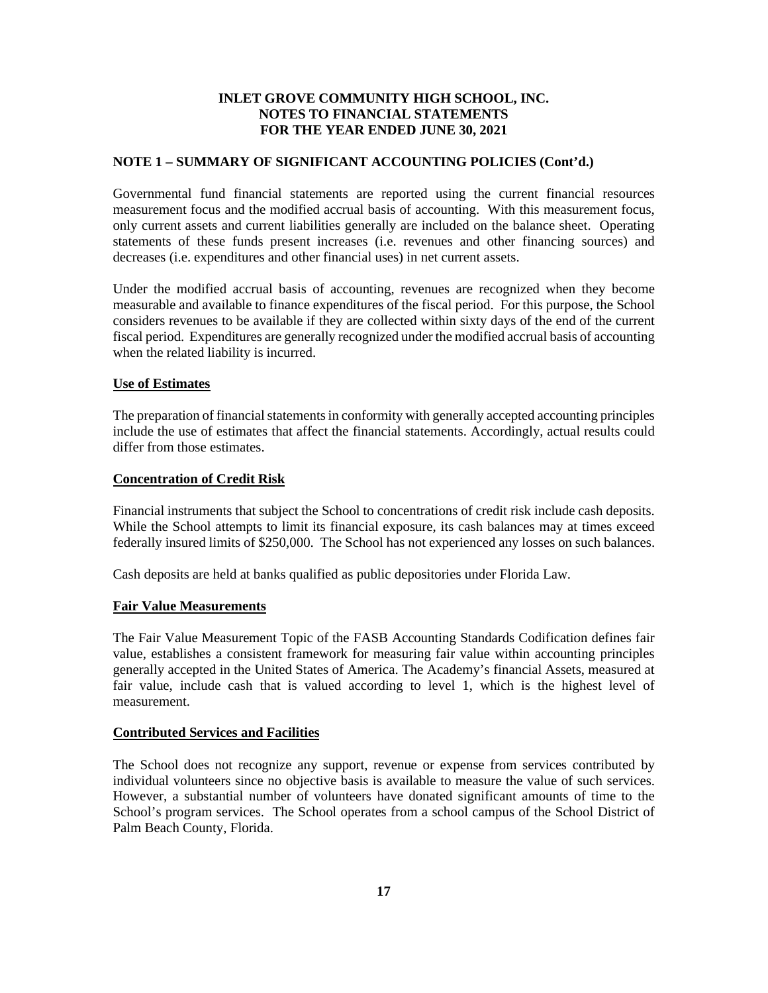#### **NOTE 1 – SUMMARY OF SIGNIFICANT ACCOUNTING POLICIES (Cont'd.)**

Governmental fund financial statements are reported using the current financial resources measurement focus and the modified accrual basis of accounting. With this measurement focus, only current assets and current liabilities generally are included on the balance sheet. Operating statements of these funds present increases (i.e. revenues and other financing sources) and decreases (i.e. expenditures and other financial uses) in net current assets.

Under the modified accrual basis of accounting, revenues are recognized when they become measurable and available to finance expenditures of the fiscal period. For this purpose, the School considers revenues to be available if they are collected within sixty days of the end of the current fiscal period. Expenditures are generally recognized under the modified accrual basis of accounting when the related liability is incurred.

#### **Use of Estimates**

The preparation of financial statements in conformity with generally accepted accounting principles include the use of estimates that affect the financial statements. Accordingly, actual results could differ from those estimates.

## **Concentration of Credit Risk**

Financial instruments that subject the School to concentrations of credit risk include cash deposits. While the School attempts to limit its financial exposure, its cash balances may at times exceed federally insured limits of \$250,000. The School has not experienced any losses on such balances.

Cash deposits are held at banks qualified as public depositories under Florida Law.

#### **Fair Value Measurements**

The Fair Value Measurement Topic of the FASB Accounting Standards Codification defines fair value, establishes a consistent framework for measuring fair value within accounting principles generally accepted in the United States of America. The Academy's financial Assets, measured at fair value, include cash that is valued according to level 1, which is the highest level of measurement.

#### **Contributed Services and Facilities**

The School does not recognize any support, revenue or expense from services contributed by individual volunteers since no objective basis is available to measure the value of such services. However, a substantial number of volunteers have donated significant amounts of time to the School's program services. The School operates from a school campus of the School District of Palm Beach County, Florida.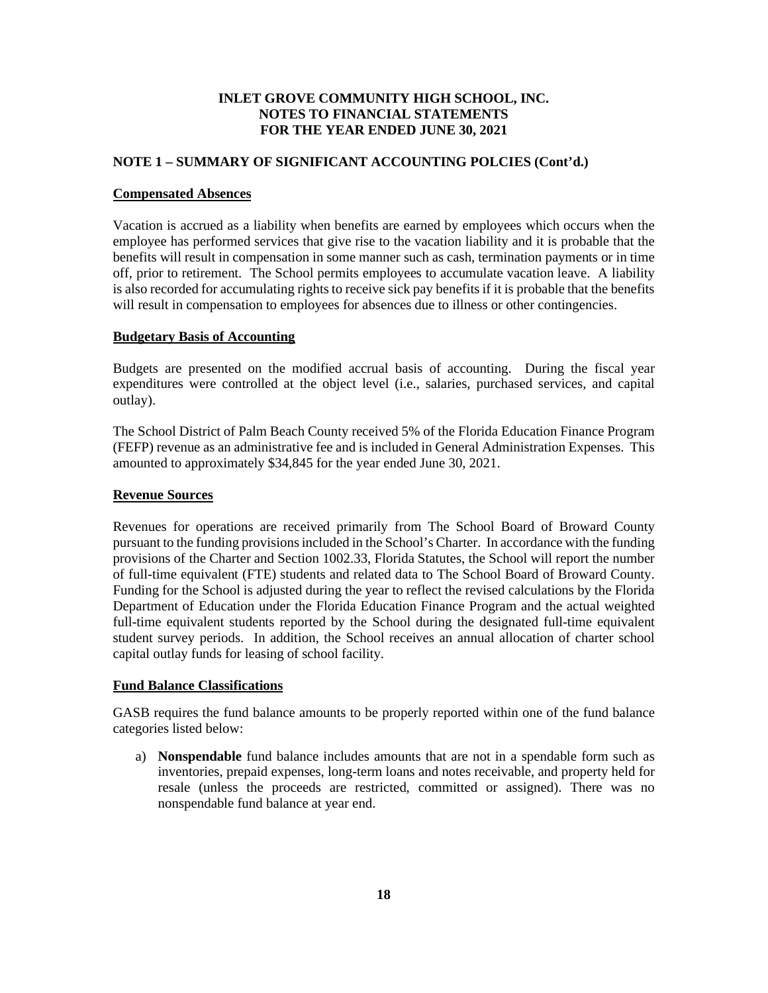## **NOTE 1 – SUMMARY OF SIGNIFICANT ACCOUNTING POLCIES (Cont'd.)**

#### **Compensated Absences**

Vacation is accrued as a liability when benefits are earned by employees which occurs when the employee has performed services that give rise to the vacation liability and it is probable that the benefits will result in compensation in some manner such as cash, termination payments or in time off, prior to retirement. The School permits employees to accumulate vacation leave. A liability is also recorded for accumulating rights to receive sick pay benefits if it is probable that the benefits will result in compensation to employees for absences due to illness or other contingencies.

#### **Budgetary Basis of Accounting**

Budgets are presented on the modified accrual basis of accounting. During the fiscal year expenditures were controlled at the object level (i.e., salaries, purchased services, and capital outlay).

The School District of Palm Beach County received 5% of the Florida Education Finance Program (FEFP) revenue as an administrative fee and is included in General Administration Expenses. This amounted to approximately \$34,845 for the year ended June 30, 2021.

#### **Revenue Sources**

Revenues for operations are received primarily from The School Board of Broward County pursuant to the funding provisions included in the School's Charter. In accordance with the funding provisions of the Charter and Section 1002.33, Florida Statutes, the School will report the number of full-time equivalent (FTE) students and related data to The School Board of Broward County. Funding for the School is adjusted during the year to reflect the revised calculations by the Florida Department of Education under the Florida Education Finance Program and the actual weighted full-time equivalent students reported by the School during the designated full-time equivalent student survey periods. In addition, the School receives an annual allocation of charter school capital outlay funds for leasing of school facility.

#### **Fund Balance Classifications**

GASB requires the fund balance amounts to be properly reported within one of the fund balance categories listed below:

a) **Nonspendable** fund balance includes amounts that are not in a spendable form such as inventories, prepaid expenses, long-term loans and notes receivable, and property held for resale (unless the proceeds are restricted, committed or assigned). There was no nonspendable fund balance at year end.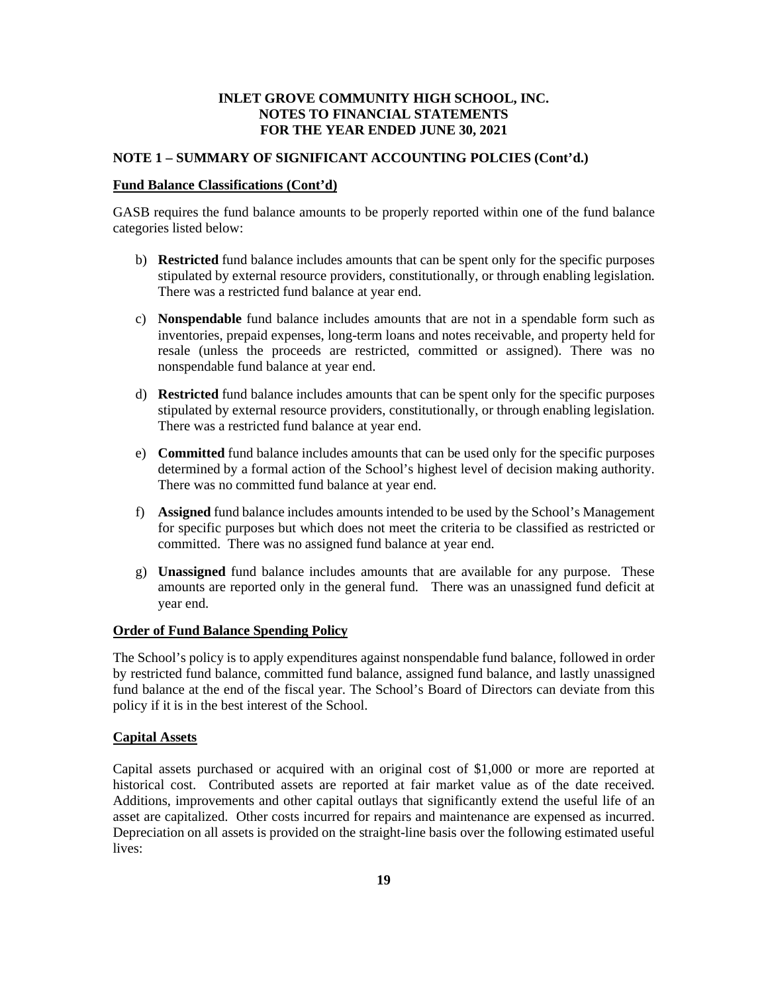# **NOTE 1 – SUMMARY OF SIGNIFICANT ACCOUNTING POLCIES (Cont'd.)**

#### **Fund Balance Classifications (Cont'd)**

GASB requires the fund balance amounts to be properly reported within one of the fund balance categories listed below:

- b) **Restricted** fund balance includes amounts that can be spent only for the specific purposes stipulated by external resource providers, constitutionally, or through enabling legislation. There was a restricted fund balance at year end.
- c) **Nonspendable** fund balance includes amounts that are not in a spendable form such as inventories, prepaid expenses, long-term loans and notes receivable, and property held for resale (unless the proceeds are restricted, committed or assigned). There was no nonspendable fund balance at year end.
- d) **Restricted** fund balance includes amounts that can be spent only for the specific purposes stipulated by external resource providers, constitutionally, or through enabling legislation. There was a restricted fund balance at year end.
- e) **Committed** fund balance includes amounts that can be used only for the specific purposes determined by a formal action of the School's highest level of decision making authority. There was no committed fund balance at year end.
- f) **Assigned** fund balance includes amounts intended to be used by the School's Management for specific purposes but which does not meet the criteria to be classified as restricted or committed. There was no assigned fund balance at year end.
- g) **Unassigned** fund balance includes amounts that are available for any purpose. These amounts are reported only in the general fund. There was an unassigned fund deficit at year end.

# **Order of Fund Balance Spending Policy**

The School's policy is to apply expenditures against nonspendable fund balance, followed in order by restricted fund balance, committed fund balance, assigned fund balance, and lastly unassigned fund balance at the end of the fiscal year. The School's Board of Directors can deviate from this policy if it is in the best interest of the School.

#### **Capital Assets**

Capital assets purchased or acquired with an original cost of \$1,000 or more are reported at historical cost. Contributed assets are reported at fair market value as of the date received. Additions, improvements and other capital outlays that significantly extend the useful life of an asset are capitalized. Other costs incurred for repairs and maintenance are expensed as incurred. Depreciation on all assets is provided on the straight-line basis over the following estimated useful lives: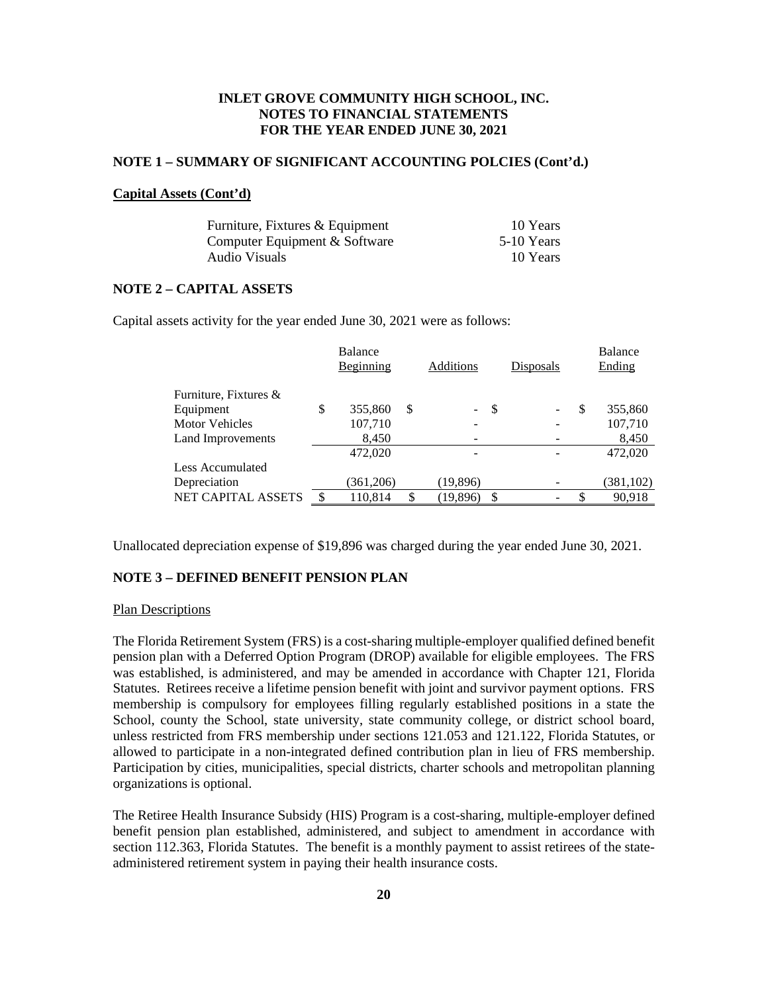#### **NOTE 1 – SUMMARY OF SIGNIFICANT ACCOUNTING POLCIES (Cont'd.)**

#### **Capital Assets (Cont'd)**

| Furniture, Fixtures & Equipment | 10 Years   |
|---------------------------------|------------|
| Computer Equipment & Software   | 5-10 Years |
| Audio Visuals                   | 10 Years   |

## **NOTE 2 – CAPITAL ASSETS**

Capital assets activity for the year ended June 30, 2021 were as follows:

|                       | Balance<br>Beginning |    | Additions |    | Disposals |   | <b>Balance</b><br>Ending |
|-----------------------|----------------------|----|-----------|----|-----------|---|--------------------------|
| Furniture, Fixtures & |                      |    |           |    |           |   |                          |
| Equipment             | \$<br>355,860        | -S |           | S, |           | S | 355,860                  |
| <b>Motor Vehicles</b> | 107,710              |    |           |    |           |   | 107,710                  |
| Land Improvements     | 8,450                |    |           |    |           |   | 8,450                    |
|                       | 472,020              |    |           |    |           |   | 472,020                  |
| Less Accumulated      |                      |    |           |    |           |   |                          |
| Depreciation          | (361,206)            |    | (19,896)  |    |           |   | (381, 102)               |
| NET CAPITAL ASSETS    | 110,814              |    | (19, 896) | \$ |           |   | 90,918                   |
|                       |                      |    |           |    |           |   |                          |

Unallocated depreciation expense of \$19,896 was charged during the year ended June 30, 2021.

#### **NOTE 3 – DEFINED BENEFIT PENSION PLAN**

#### **Plan Descriptions**

The Florida Retirement System (FRS) is a cost-sharing multiple-employer qualified defined benefit pension plan with a Deferred Option Program (DROP) available for eligible employees. The FRS was established, is administered, and may be amended in accordance with Chapter 121, Florida Statutes. Retirees receive a lifetime pension benefit with joint and survivor payment options. FRS membership is compulsory for employees filling regularly established positions in a state the School, county the School, state university, state community college, or district school board, unless restricted from FRS membership under sections 121.053 and 121.122, Florida Statutes, or allowed to participate in a non-integrated defined contribution plan in lieu of FRS membership. Participation by cities, municipalities, special districts, charter schools and metropolitan planning organizations is optional.

The Retiree Health Insurance Subsidy (HIS) Program is a cost-sharing, multiple-employer defined benefit pension plan established, administered, and subject to amendment in accordance with section 112.363, Florida Statutes. The benefit is a monthly payment to assist retirees of the stateadministered retirement system in paying their health insurance costs.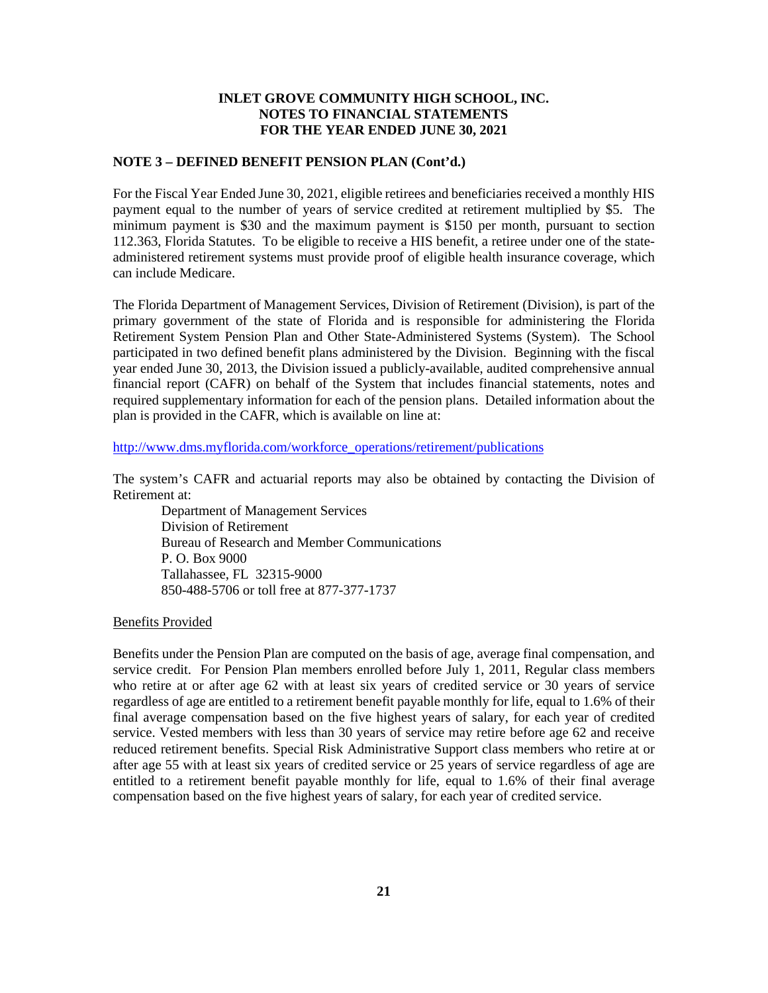#### **NOTE 3 – DEFINED BENEFIT PENSION PLAN (Cont'd.)**

For the Fiscal Year Ended June 30, 2021, eligible retirees and beneficiaries received a monthly HIS payment equal to the number of years of service credited at retirement multiplied by \$5. The minimum payment is \$30 and the maximum payment is \$150 per month, pursuant to section 112.363, Florida Statutes. To be eligible to receive a HIS benefit, a retiree under one of the stateadministered retirement systems must provide proof of eligible health insurance coverage, which can include Medicare.

The Florida Department of Management Services, Division of Retirement (Division), is part of the primary government of the state of Florida and is responsible for administering the Florida Retirement System Pension Plan and Other State-Administered Systems (System). The School participated in two defined benefit plans administered by the Division. Beginning with the fiscal year ended June 30, 2013, the Division issued a publicly-available, audited comprehensive annual financial report (CAFR) on behalf of the System that includes financial statements, notes and required supplementary information for each of the pension plans. Detailed information about the plan is provided in the CAFR, which is available on line at:

#### [http://www.dms.myflorida.com/workforce\\_operations/retirement/publications](http://www.dms.myflorida.com/workforce_operations/retirement/publications)

The system's CAFR and actuarial reports may also be obtained by contacting the Division of Retirement at:

Department of Management Services Division of Retirement Bureau of Research and Member Communications P. O. Box 9000 Tallahassee, FL 32315-9000 850-488-5706 or toll free at 877-377-1737

#### Benefits Provided

Benefits under the Pension Plan are computed on the basis of age, average final compensation, and service credit. For Pension Plan members enrolled before July 1, 2011, Regular class members who retire at or after age 62 with at least six years of credited service or 30 years of service regardless of age are entitled to a retirement benefit payable monthly for life, equal to 1.6% of their final average compensation based on the five highest years of salary, for each year of credited service. Vested members with less than 30 years of service may retire before age 62 and receive reduced retirement benefits. Special Risk Administrative Support class members who retire at or after age 55 with at least six years of credited service or 25 years of service regardless of age are entitled to a retirement benefit payable monthly for life, equal to 1.6% of their final average compensation based on the five highest years of salary, for each year of credited service.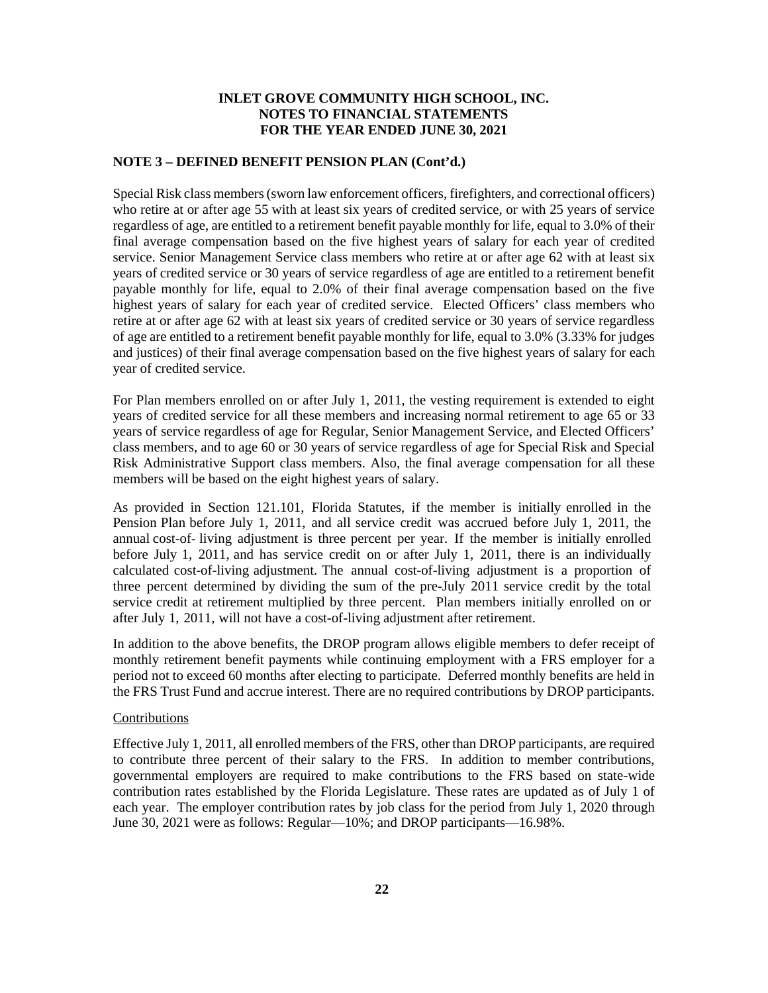#### **NOTE 3 – DEFINED BENEFIT PENSION PLAN (Cont'd.)**

Special Risk class members (sworn law enforcement officers, firefighters, and correctional officers) who retire at or after age 55 with at least six years of credited service, or with 25 years of service regardless of age, are entitled to a retirement benefit payable monthly for life, equal to 3.0% of their final average compensation based on the five highest years of salary for each year of credited service. Senior Management Service class members who retire at or after age 62 with at least six years of credited service or 30 years of service regardless of age are entitled to a retirement benefit payable monthly for life, equal to 2.0% of their final average compensation based on the five highest years of salary for each year of credited service. Elected Officers' class members who retire at or after age 62 with at least six years of credited service or 30 years of service regardless of age are entitled to a retirement benefit payable monthly for life, equal to 3.0% (3.33% for judges and justices) of their final average compensation based on the five highest years of salary for each year of credited service.

For Plan members enrolled on or after July 1, 2011, the vesting requirement is extended to eight years of credited service for all these members and increasing normal retirement to age 65 or 33 years of service regardless of age for Regular, Senior Management Service, and Elected Officers' class members, and to age 60 or 30 years of service regardless of age for Special Risk and Special Risk Administrative Support class members. Also, the final average compensation for all these members will be based on the eight highest years of salary.

As provided in Section 121.101, Florida Statutes, if the member is initially enrolled in the Pension Plan before July 1, 2011, and all service credit was accrued before July 1, 2011, the annual cost-of- living adjustment is three percent per year. If the member is initially enrolled before July 1, 2011, and has service credit on or after July 1, 2011, there is an individually calculated cost-of-living adjustment. The annual cost-of-living adjustment is a proportion of three percent determined by dividing the sum of the pre-July 2011 service credit by the total service credit at retirement multiplied by three percent. Plan members initially enrolled on or after July 1, 2011, will not have a cost-of-living adjustment after retirement.

In addition to the above benefits, the DROP program allows eligible members to defer receipt of monthly retirement benefit payments while continuing employment with a FRS employer for a period not to exceed 60 months after electing to participate. Deferred monthly benefits are held in the FRS Trust Fund and accrue interest. There are no required contributions by DROP participants.

#### **Contributions**

Effective July 1, 2011, all enrolled members of the FRS, other than DROP participants, are required to contribute three percent of their salary to the FRS. In addition to member contributions, governmental employers are required to make contributions to the FRS based on state-wide contribution rates established by the Florida Legislature. These rates are updated as of July 1 of each year. The employer contribution rates by job class for the period from July 1, 2020 through June 30, 2021 were as follows: Regular—10%; and DROP participants—16.98%.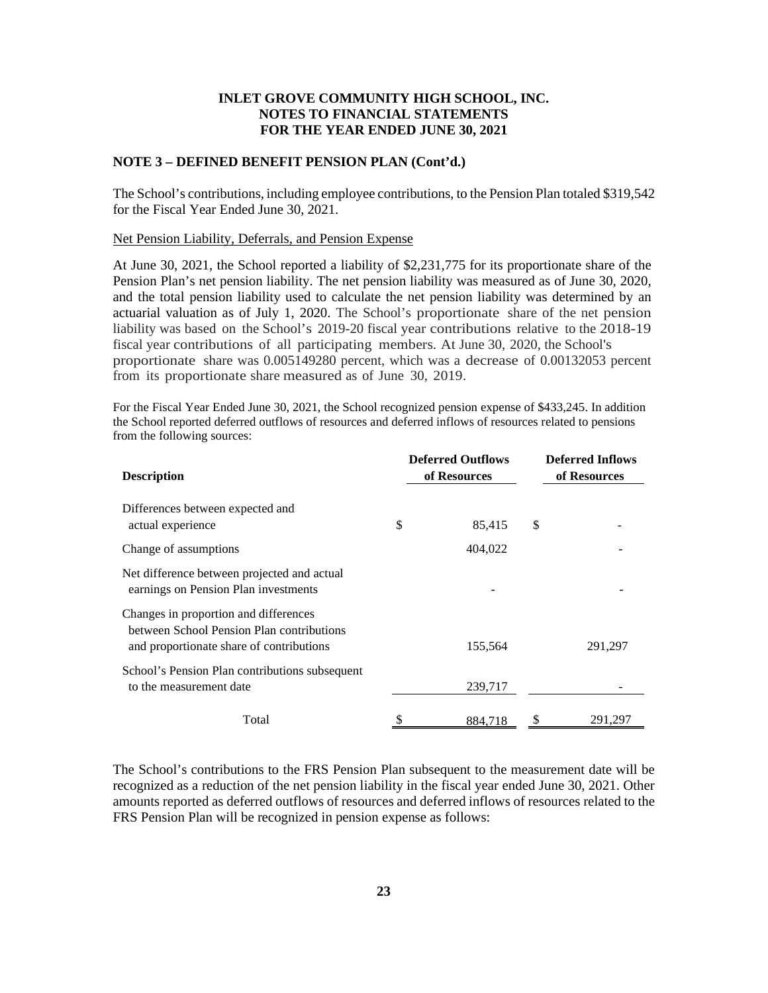#### **NOTE 3 – DEFINED BENEFIT PENSION PLAN (Cont'd.)**

The School's contributions, including employee contributions, to the Pension Plan totaled \$319,542 for the Fiscal Year Ended June 30, 2021.

#### Net Pension Liability, Deferrals, and Pension Expense

At June 30, 2021, the School reported a liability of \$2,231,775 for its proportionate share of the Pension Plan's net pension liability. The net pension liability was measured as of June 30, 2020, and the total pension liability used to calculate the net pension liability was determined by an actuarial valuation as of July 1, 2020. The School's proportionate share of the net pension liability was based on the School's 2019-20 fiscal year contributions relative to the 2018-19 fiscal year contributions of all participating members. At June 30, 2020, the School's proportionate share was 0.005149280 percent, which was a decrease of 0.00132053 percent from its proportionate share measured as of June 30, 2019.

For the Fiscal Year Ended June 30, 2021, the School recognized pension expense of \$433,245. In addition the School reported deferred outflows of resources and deferred inflows of resources related to pensions from the following sources:

| <b>Description</b>                                                                                                             |    | <b>Deferred Outflows</b><br>of Resources | <b>Deferred Inflows</b><br>of Resources |  |
|--------------------------------------------------------------------------------------------------------------------------------|----|------------------------------------------|-----------------------------------------|--|
| Differences between expected and<br>actual experience                                                                          | \$ | 85,415                                   | \$                                      |  |
| Change of assumptions                                                                                                          |    | 404,022                                  |                                         |  |
| Net difference between projected and actual<br>earnings on Pension Plan investments                                            |    |                                          |                                         |  |
| Changes in proportion and differences<br>between School Pension Plan contributions<br>and proportionate share of contributions |    | 155,564                                  | 291,297                                 |  |
| School's Pension Plan contributions subsequent<br>to the measurement date                                                      |    | 239,717                                  |                                         |  |
| Total                                                                                                                          |    | 884,718                                  | 291,297                                 |  |

The School's contributions to the FRS Pension Plan subsequent to the measurement date will be recognized as a reduction of the net pension liability in the fiscal year ended June 30, 2021. Other amounts reported as deferred outflows of resources and deferred inflows of resources related to the FRS Pension Plan will be recognized in pension expense as follows: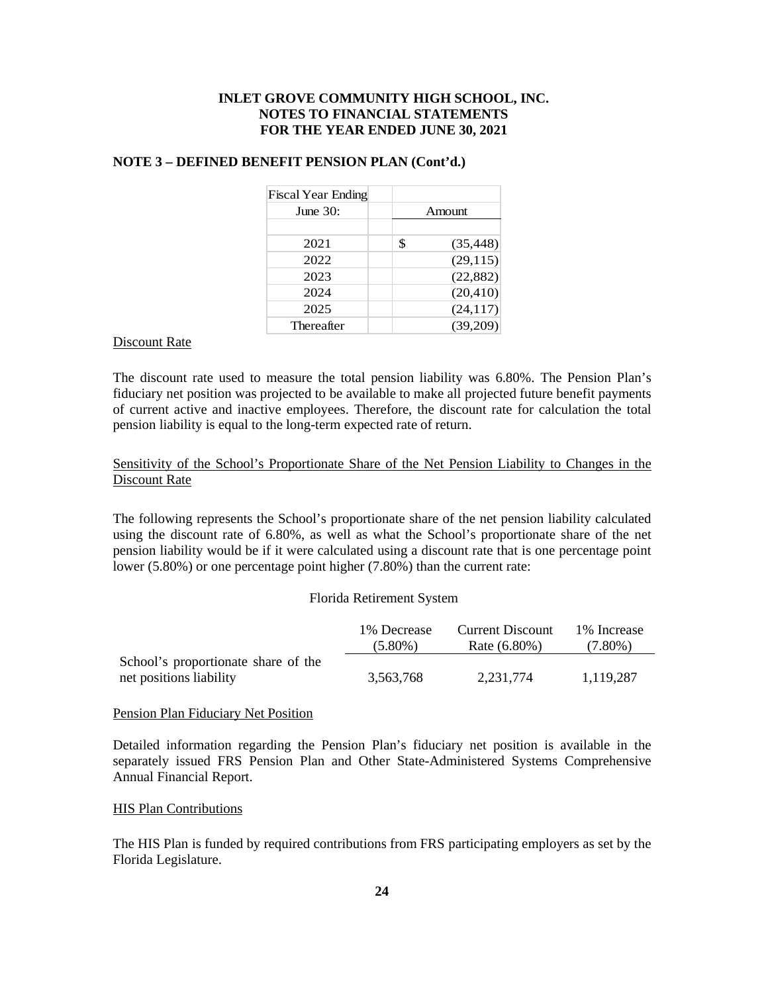| <b>Fiscal Year Ending</b> |                 |
|---------------------------|-----------------|
| June $30:$                | Amount          |
|                           |                 |
| 2021                      | \$<br>(35, 448) |
| 2022                      | (29, 115)       |
| 2023                      | (22, 882)       |
| 2024                      | (20, 410)       |
| 2025                      | (24, 117)       |
| Thereafter                | (39,209)        |

#### **NOTE 3 – DEFINED BENEFIT PENSION PLAN (Cont'd.)**

#### Discount Rate

The discount rate used to measure the total pension liability was 6.80%. The Pension Plan's fiduciary net position was projected to be available to make all projected future benefit payments of current active and inactive employees. Therefore, the discount rate for calculation the total pension liability is equal to the long-term expected rate of return.

## Sensitivity of the School's Proportionate Share of the Net Pension Liability to Changes in the Discount Rate

The following represents the School's proportionate share of the net pension liability calculated using the discount rate of 6.80%, as well as what the School's proportionate share of the net pension liability would be if it were calculated using a discount rate that is one percentage point lower (5.80%) or one percentage point higher (7.80%) than the current rate:

#### Florida Retirement System

|                                                                | 1\% Decrease | <b>Current Discount</b> | 1\% Increase |
|----------------------------------------------------------------|--------------|-------------------------|--------------|
|                                                                | $(5.80\%)$   | Rate (6.80%)            | $(7.80\%)$   |
| School's proportionate share of the<br>net positions liability | 3.563.768    | 2.231.774               | 1.119.287    |

#### Pension Plan Fiduciary Net Position

Detailed information regarding the Pension Plan's fiduciary net position is available in the separately issued FRS Pension Plan and Other State-Administered Systems Comprehensive Annual Financial Report.

### HIS Plan Contributions

The HIS Plan is funded by required contributions from FRS participating employers as set by the Florida Legislature.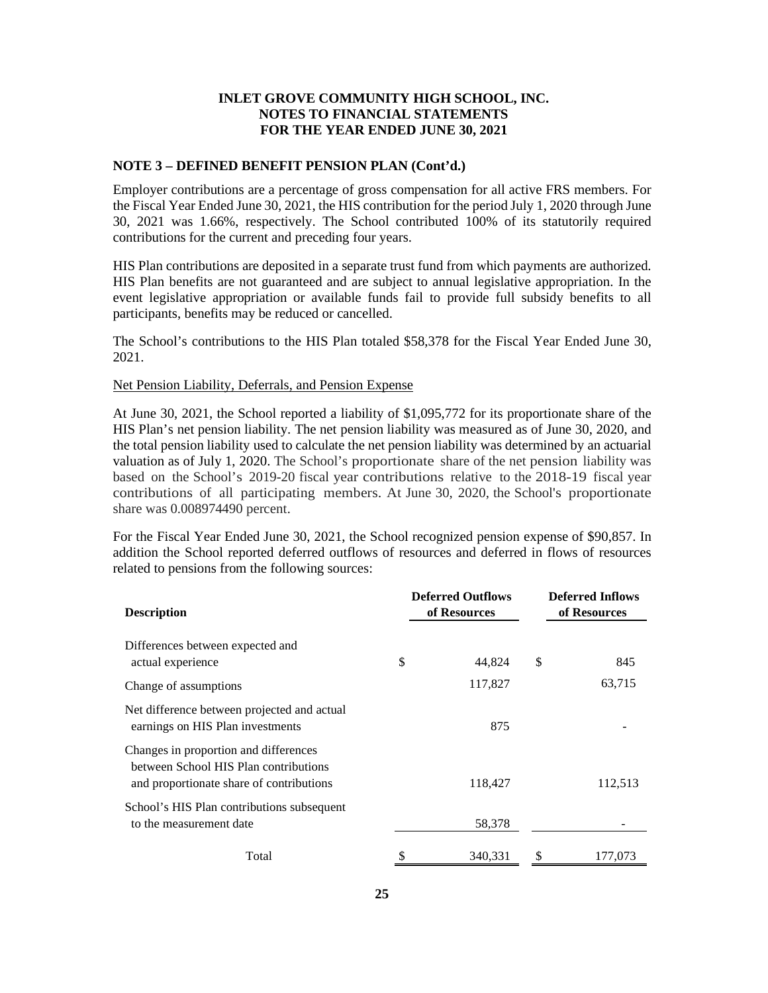#### **NOTE 3 – DEFINED BENEFIT PENSION PLAN (Cont'd.)**

Employer contributions are a percentage of gross compensation for all active FRS members. For the Fiscal Year Ended June 30, 2021, the HIS contribution for the period July 1, 2020 through June 30, 2021 was 1.66%, respectively. The School contributed 100% of its statutorily required contributions for the current and preceding four years.

HIS Plan contributions are deposited in a separate trust fund from which payments are authorized. HIS Plan benefits are not guaranteed and are subject to annual legislative appropriation. In the event legislative appropriation or available funds fail to provide full subsidy benefits to all participants, benefits may be reduced or cancelled.

The School's contributions to the HIS Plan totaled \$58,378 for the Fiscal Year Ended June 30, 2021.

## Net Pension Liability, Deferrals, and Pension Expense

At June 30, 2021, the School reported a liability of \$1,095,772 for its proportionate share of the HIS Plan's net pension liability. The net pension liability was measured as of June 30, 2020, and the total pension liability used to calculate the net pension liability was determined by an actuarial valuation as of July 1, 2020. The School's proportionate share of the net pension liability was based on the School's 2019-20 fiscal year contributions relative to the 2018-19 fiscal year contributions of all participating members. At June 30, 2020, the School's proportionate share was 0.008974490 percent.

For the Fiscal Year Ended June 30, 2021, the School recognized pension expense of \$90,857. In addition the School reported deferred outflows of resources and deferred in flows of resources related to pensions from the following sources:

| <b>Description</b>                                                                                                         | <b>Deferred Outflows</b><br>of Resources |         | <b>Deferred Inflows</b><br>of Resources |         |  |
|----------------------------------------------------------------------------------------------------------------------------|------------------------------------------|---------|-----------------------------------------|---------|--|
| Differences between expected and                                                                                           |                                          |         |                                         |         |  |
| actual experience                                                                                                          | \$                                       | 44,824  | \$                                      | 845     |  |
| Change of assumptions                                                                                                      |                                          | 117,827 |                                         | 63,715  |  |
| Net difference between projected and actual<br>earnings on HIS Plan investments                                            |                                          | 875     |                                         |         |  |
| Changes in proportion and differences<br>between School HIS Plan contributions<br>and proportionate share of contributions |                                          | 118,427 |                                         | 112,513 |  |
| School's HIS Plan contributions subsequent<br>to the measurement date                                                      |                                          | 58,378  |                                         |         |  |
| Total                                                                                                                      | \$                                       | 340,331 |                                         | 177,073 |  |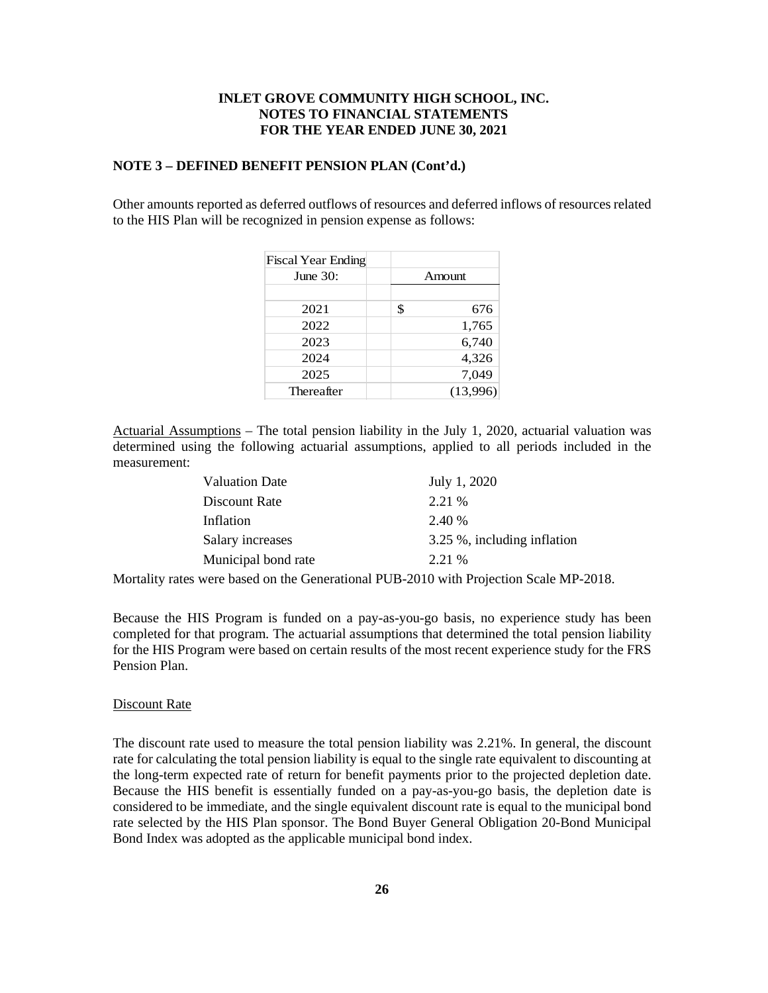# **NOTE 3 – DEFINED BENEFIT PENSION PLAN (Cont'd.)**

Other amounts reported as deferred outflows of resources and deferred inflows of resources related to the HIS Plan will be recognized in pension expense as follows:

| Amount                    |
|---------------------------|
|                           |
| \$<br>676                 |
| 1,765                     |
| 6,740                     |
| 4,326                     |
| 7,049                     |
| (13,996)                  |
| <b>Fiscal Year Ending</b> |

Actuarial Assumptions – The total pension liability in the July 1, 2020, actuarial valuation was determined using the following actuarial assumptions, applied to all periods included in the measurement:

| <b>Valuation Date</b> | July 1, 2020                |
|-----------------------|-----------------------------|
| Discount Rate         | 2.21 %                      |
| Inflation             | 2.40 %                      |
| Salary increases      | 3.25 %, including inflation |
| Municipal bond rate   | 2.21 %                      |
|                       |                             |

Mortality rates were based on the Generational PUB-2010 with Projection Scale MP-2018.

Because the HIS Program is funded on a pay-as-you-go basis, no experience study has been completed for that program. The actuarial assumptions that determined the total pension liability for the HIS Program were based on certain results of the most recent experience study for the FRS Pension Plan.

#### Discount Rate

The discount rate used to measure the total pension liability was 2.21%. In general, the discount rate for calculating the total pension liability is equal to the single rate equivalent to discounting at the long-term expected rate of return for benefit payments prior to the projected depletion date. Because the HIS benefit is essentially funded on a pay-as-you-go basis, the depletion date is considered to be immediate, and the single equivalent discount rate is equal to the municipal bond rate selected by the HIS Plan sponsor. The Bond Buyer General Obligation 20-Bond Municipal Bond Index was adopted as the applicable municipal bond index.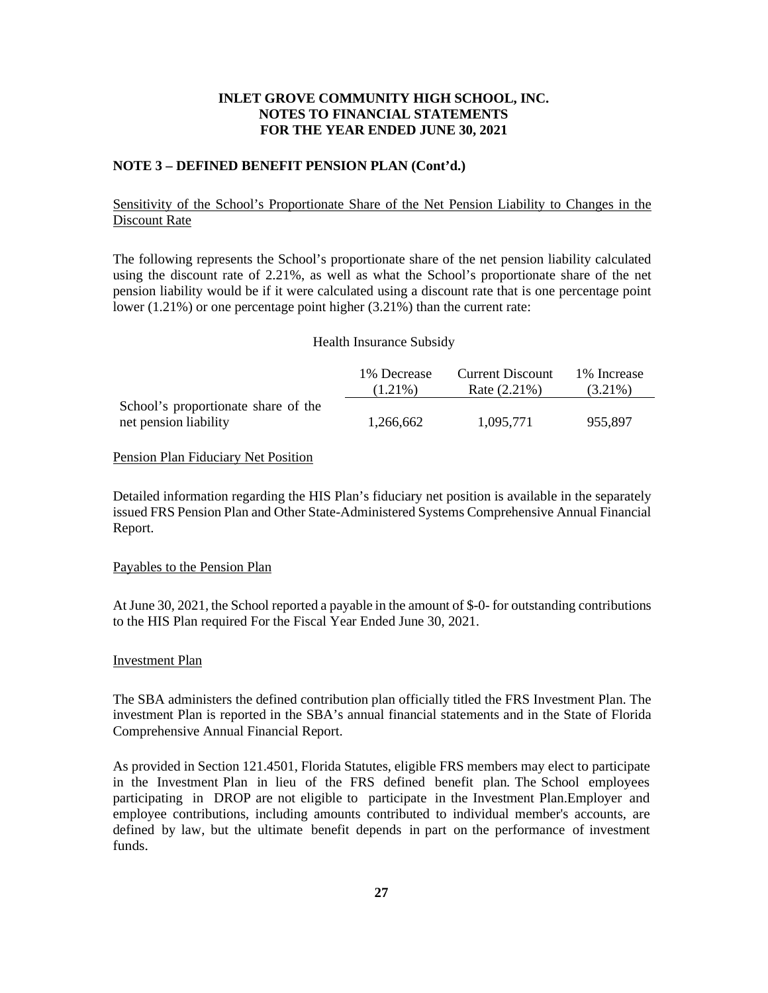#### **NOTE 3 – DEFINED BENEFIT PENSION PLAN (Cont'd.)**

## Sensitivity of the School's Proportionate Share of the Net Pension Liability to Changes in the Discount Rate

The following represents the School's proportionate share of the net pension liability calculated using the discount rate of 2.21%, as well as what the School's proportionate share of the net pension liability would be if it were calculated using a discount rate that is one percentage point lower (1.21%) or one percentage point higher (3.21%) than the current rate:

#### Health Insurance Subsidy

|                                     | 1\% Decrease<br>$(1.21\%)$ | <b>Current Discount</b><br>Rate $(2.21\%)$ | 1\% Increase<br>$(3.21\%)$ |
|-------------------------------------|----------------------------|--------------------------------------------|----------------------------|
| School's proportionate share of the |                            |                                            |                            |
| net pension liability               | 1.266.662                  | 1.095.771                                  | 955.897                    |

#### Pension Plan Fiduciary Net Position

Detailed information regarding the HIS Plan's fiduciary net position is available in the separately issued FRS Pension Plan and Other State-Administered Systems Comprehensive Annual Financial Report.

#### Payables to the Pension Plan

At June 30, 2021, the School reported a payable in the amount of \$-0- for outstanding contributions to the HIS Plan required For the Fiscal Year Ended June 30, 2021.

#### Investment Plan

The SBA administers the defined contribution plan officially titled the FRS Investment Plan. The investment Plan is reported in the SBA's annual financial statements and in the State of Florida Comprehensive Annual Financial Report.

As provided in Section 121.4501, Florida Statutes, eligible FRS members may elect to participate in the Investment Plan in lieu of the FRS defined benefit plan. The School employees participating in DROP are not eligible to participate in the Investment Plan.Employer and employee contributions, including amounts contributed to individual member's accounts, are defined by law, but the ultimate benefit depends in part on the performance of investment funds.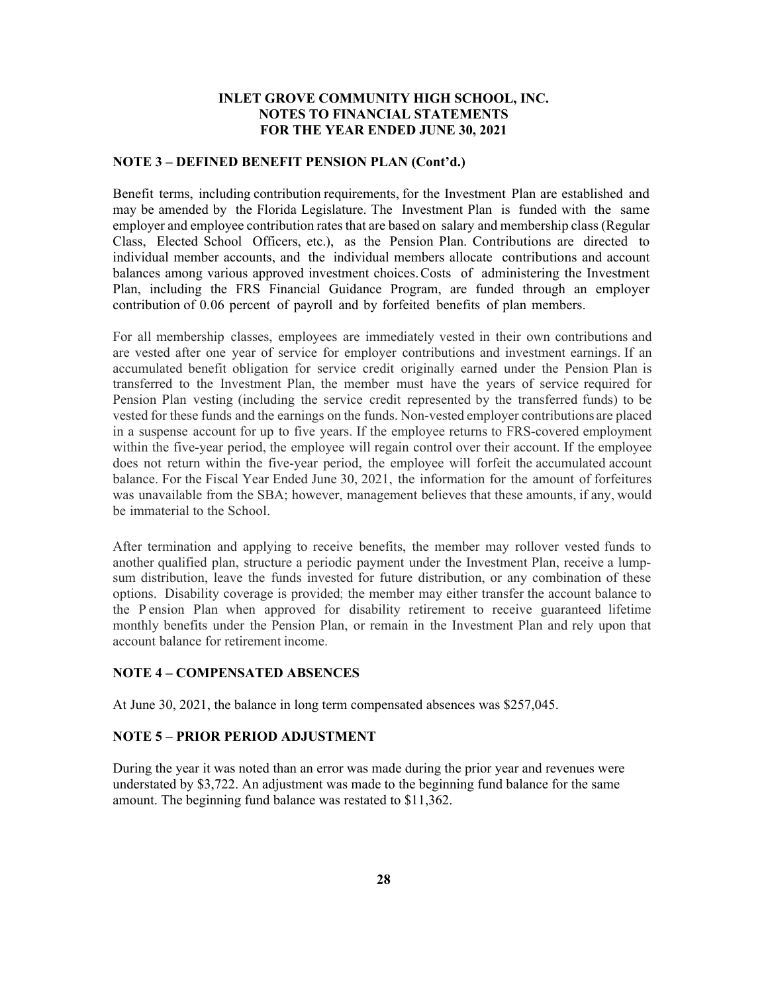#### **NOTE 3 – DEFINED BENEFIT PENSION PLAN (Cont'd.)**

Benefit terms, including contribution requirements, for the Investment Plan are established and may be amended by the Florida Legislature. The Investment Plan is funded with the same employer and employee contribution rates that are based on salary and membership class (Regular Class, Elected School Officers, etc.), as the Pension Plan. Contributions are directed to individual member accounts, and the individual members allocate contributions and account balances among various approved investment choices. Costs of administering the Investment Plan, including the FRS Financial Guidance Program, are funded through an employer contribution of 0.06 percent of payroll and by forfeited benefits of plan members.

For all membership classes, employees are immediately vested in their own contributions and are vested after one year of service for employer contributions and investment earnings. If an accumulated benefit obligation for service credit originally earned under the Pension Plan is transferred to the Investment Plan, the member must have the years of service required for Pension Plan vesting (including the service credit represented by the transferred funds) to be vested for these funds and the earnings on the funds. Non-vested employer contributions are placed in a suspense account for up to five years. If the employee returns to FRS-covered employment within the five-year period, the employee will regain control over their account. If the employee does not return within the five-year period, the employee will forfeit the accumulated account balance. For the Fiscal Year Ended June 30, 2021, the information for the amount of forfeitures was unavailable from the SBA; however, management believes that these amounts, if any, would be immaterial to the School.

After termination and applying to receive benefits, the member may rollover vested funds to another qualified plan, structure a periodic payment under the Investment Plan, receive a lumpsum distribution, leave the funds invested for future distribution, or any combination of these options. Disability coverage is provided; the member may either transfer the account balance to the P ension Plan when approved for disability retirement to receive guaranteed lifetime monthly benefits under the Pension Plan, or remain in the Investment Plan and rely upon that account balance for retirement income.

#### **NOTE 4 – COMPENSATED ABSENCES**

At June 30, 2021, the balance in long term compensated absences was \$257,045.

#### **NOTE 5 – PRIOR PERIOD ADJUSTMENT**

During the year it was noted than an error was made during the prior year and revenues were understated by \$3,722. An adjustment was made to the beginning fund balance for the same amount. The beginning fund balance was restated to \$11,362.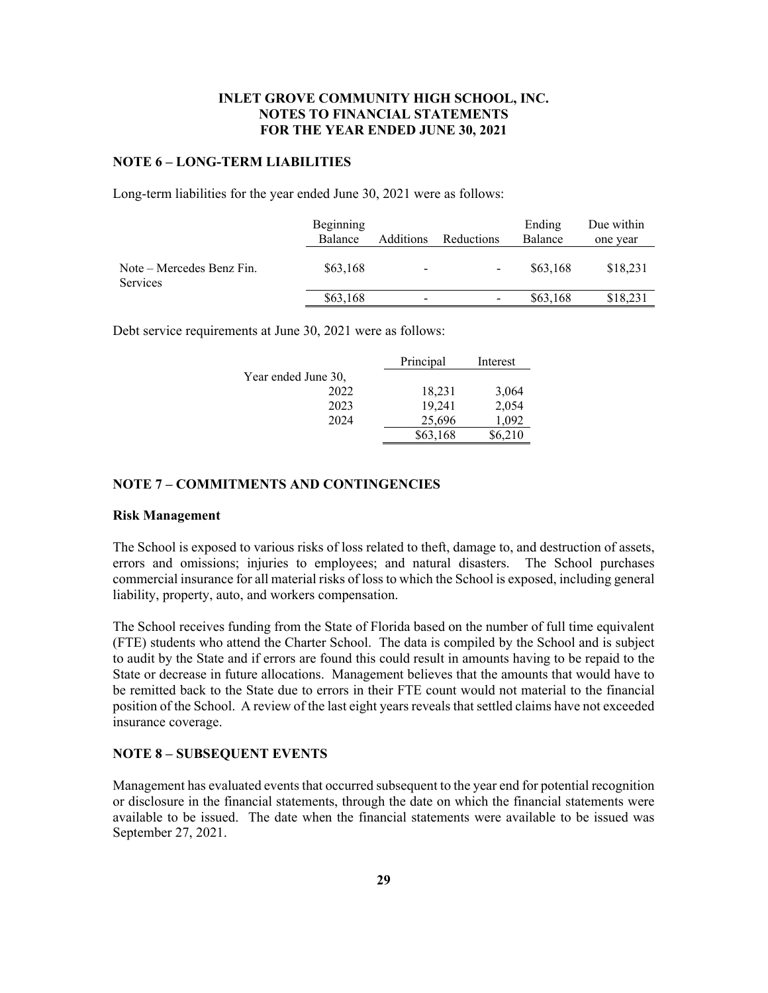#### **NOTE 6 – LONG-TERM LIABILITIES**

Long-term liabilities for the year ended June 30, 2021 were as follows:

|                                       | Beginning<br>Balance | <b>Additions</b>         | Reductions | Ending<br>Balance | Due within<br>one year |
|---------------------------------------|----------------------|--------------------------|------------|-------------------|------------------------|
| Note – Mercedes Benz Fin.<br>Services | \$63,168             | $\overline{\phantom{a}}$ | -          | \$63,168          | \$18,231               |
|                                       | \$63,168             | $\,$                     |            | \$63,168          | \$18,231               |

Debt service requirements at June 30, 2021 were as follows:

|                     | Principal | Interest |
|---------------------|-----------|----------|
| Year ended June 30, |           |          |
| 2022                | 18,231    | 3,064    |
| 2023                | 19.241    | 2,054    |
| 2024                | 25,696    | 1.092    |
|                     | \$63,168  | \$6,210  |

## **NOTE 7 – COMMITMENTS AND CONTINGENCIES**

#### **Risk Management**

The School is exposed to various risks of loss related to theft, damage to, and destruction of assets, errors and omissions; injuries to employees; and natural disasters. The School purchases commercial insurance for all material risks of loss to which the School is exposed, including general liability, property, auto, and workers compensation.

The School receives funding from the State of Florida based on the number of full time equivalent (FTE) students who attend the Charter School. The data is compiled by the School and is subject to audit by the State and if errors are found this could result in amounts having to be repaid to the State or decrease in future allocations. Management believes that the amounts that would have to be remitted back to the State due to errors in their FTE count would not material to the financial position of the School. A review of the last eight years reveals that settled claims have not exceeded insurance coverage.

#### **NOTE 8 – SUBSEQUENT EVENTS**

Management has evaluated events that occurred subsequent to the year end for potential recognition or disclosure in the financial statements, through the date on which the financial statements were available to be issued. The date when the financial statements were available to be issued was September 27, 2021.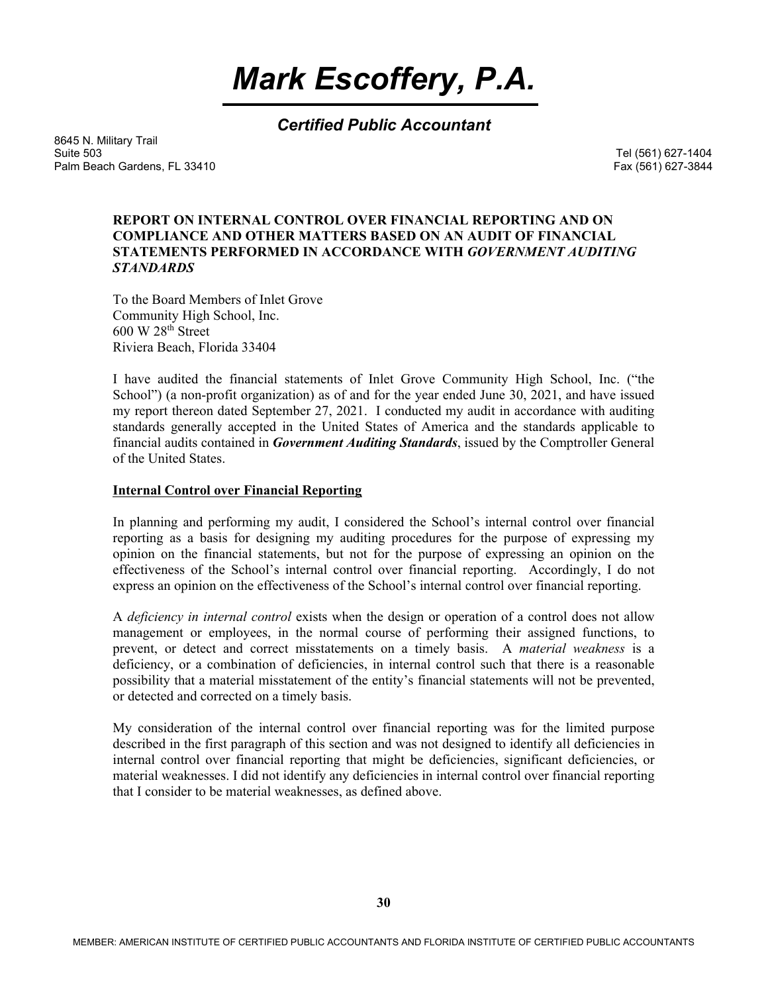*Mark Escoffery, P.A.* 

*Certified Public Accountant* 

8645 N. Military Trail Palm Beach Gardens, FL 33410

Tel (561) 627-1404<br>Fax (561) 627-3844

# **REPORT ON INTERNAL CONTROL OVER FINANCIAL REPORTING AND ON COMPLIANCE AND OTHER MATTERS BASED ON AN AUDIT OF FINANCIAL STATEMENTS PERFORMED IN ACCORDANCE WITH** *GOVERNMENT AUDITING STANDARDS*

To the Board Members of Inlet Grove Community High School, Inc.  $600 \text{ W } 28^{\text{th}}$  Street Riviera Beach, Florida 33404

I have audited the financial statements of Inlet Grove Community High School, Inc. ("the School") (a non-profit organization) as of and for the year ended June 30, 2021, and have issued my report thereon dated September 27, 2021. I conducted my audit in accordance with auditing standards generally accepted in the United States of America and the standards applicable to financial audits contained in *Government Auditing Standards*, issued by the Comptroller General of the United States.

## **Internal Control over Financial Reporting**

In planning and performing my audit, I considered the School's internal control over financial reporting as a basis for designing my auditing procedures for the purpose of expressing my opinion on the financial statements, but not for the purpose of expressing an opinion on the effectiveness of the School's internal control over financial reporting. Accordingly, I do not express an opinion on the effectiveness of the School's internal control over financial reporting.

A *deficiency in internal control* exists when the design or operation of a control does not allow management or employees, in the normal course of performing their assigned functions, to prevent, or detect and correct misstatements on a timely basis. A *material weakness* is a deficiency, or a combination of deficiencies, in internal control such that there is a reasonable possibility that a material misstatement of the entity's financial statements will not be prevented, or detected and corrected on a timely basis.

My consideration of the internal control over financial reporting was for the limited purpose described in the first paragraph of this section and was not designed to identify all deficiencies in internal control over financial reporting that might be deficiencies, significant deficiencies, or material weaknesses. I did not identify any deficiencies in internal control over financial reporting that I consider to be material weaknesses, as defined above.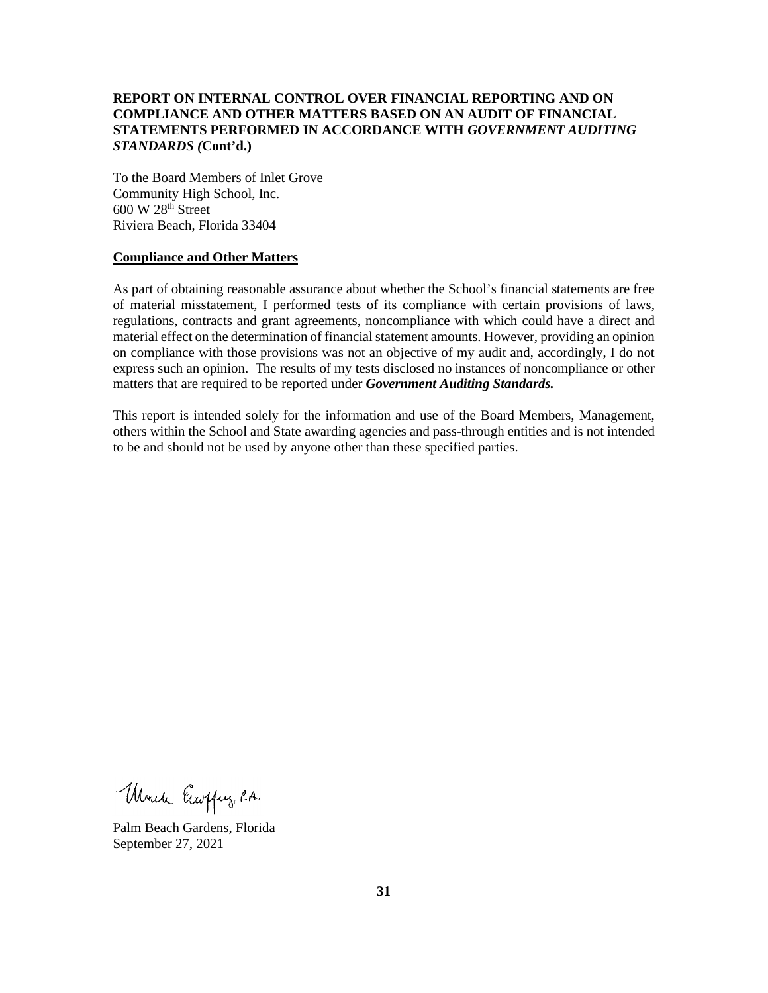## **REPORT ON INTERNAL CONTROL OVER FINANCIAL REPORTING AND ON COMPLIANCE AND OTHER MATTERS BASED ON AN AUDIT OF FINANCIAL STATEMENTS PERFORMED IN ACCORDANCE WITH** *GOVERNMENT AUDITING STANDARDS (***Cont'd.)**

To the Board Members of Inlet Grove Community High School, Inc. 600 W 28th Street Riviera Beach, Florida 33404

#### **Compliance and Other Matters**

As part of obtaining reasonable assurance about whether the School's financial statements are free of material misstatement, I performed tests of its compliance with certain provisions of laws, regulations, contracts and grant agreements, noncompliance with which could have a direct and material effect on the determination of financial statement amounts. However, providing an opinion on compliance with those provisions was not an objective of my audit and, accordingly, I do not express such an opinion. The results of my tests disclosed no instances of noncompliance or other matters that are required to be reported under *Government Auditing Standards.*

This report is intended solely for the information and use of the Board Members, Management, others within the School and State awarding agencies and pass-through entities and is not intended to be and should not be used by anyone other than these specified parties.

Moule Evoppuz, P.A.

Palm Beach Gardens, Florida September 27, 2021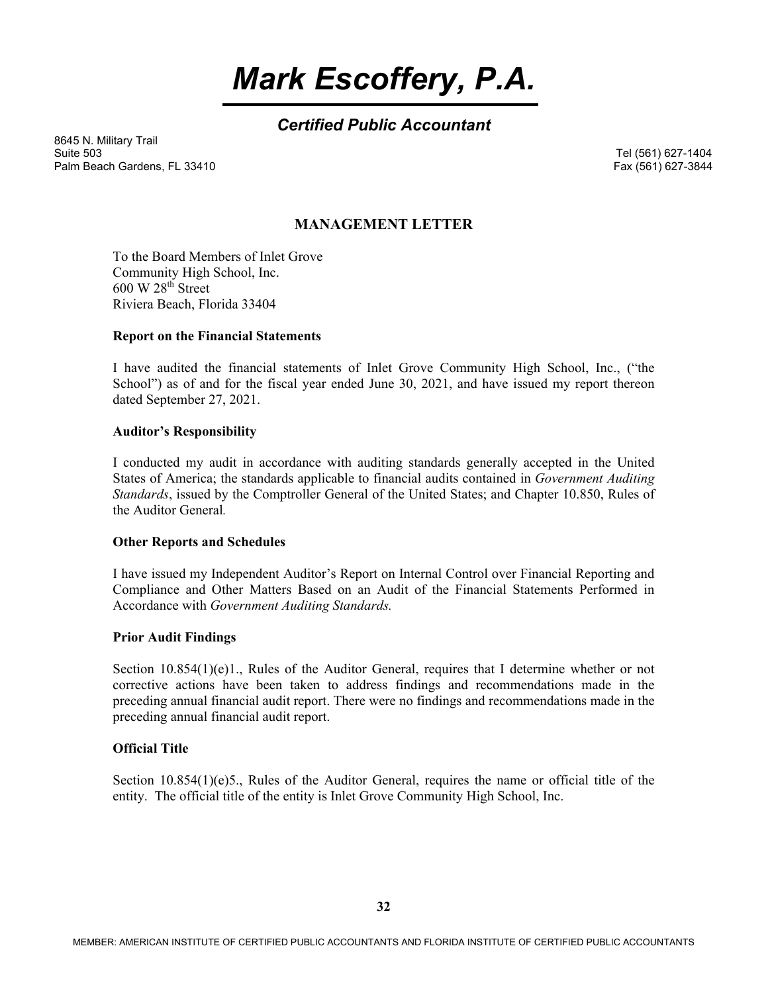*Mark Escoffery, P.A.* 

*Certified Public Accountant* 

8645 N. Military Trail Palm Beach Gardens, FL 33410

Tel (561) 627-1404<br>Fax (561) 627-3844

# **MANAGEMENT LETTER**

To the Board Members of Inlet Grove Community High School, Inc.  $600 \text{ W } 28^{\text{th}}$  Street Riviera Beach, Florida 33404

#### **Report on the Financial Statements**

I have audited the financial statements of Inlet Grove Community High School, Inc., ("the School") as of and for the fiscal year ended June 30, 2021, and have issued my report thereon dated September 27, 2021.

## **Auditor's Responsibility**

I conducted my audit in accordance with auditing standards generally accepted in the United States of America; the standards applicable to financial audits contained in *Government Auditing Standards*, issued by the Comptroller General of the United States; and Chapter 10.850, Rules of the Auditor General*.*

#### **Other Reports and Schedules**

I have issued my Independent Auditor's Report on Internal Control over Financial Reporting and Compliance and Other Matters Based on an Audit of the Financial Statements Performed in Accordance with *Government Auditing Standards.*

#### **Prior Audit Findings**

Section 10.854(1)(e)1., Rules of the Auditor General, requires that I determine whether or not corrective actions have been taken to address findings and recommendations made in the preceding annual financial audit report. There were no findings and recommendations made in the preceding annual financial audit report.

#### **Official Title**

Section 10.854(1)(e)5., Rules of the Auditor General, requires the name or official title of the entity. The official title of the entity is Inlet Grove Community High School, Inc.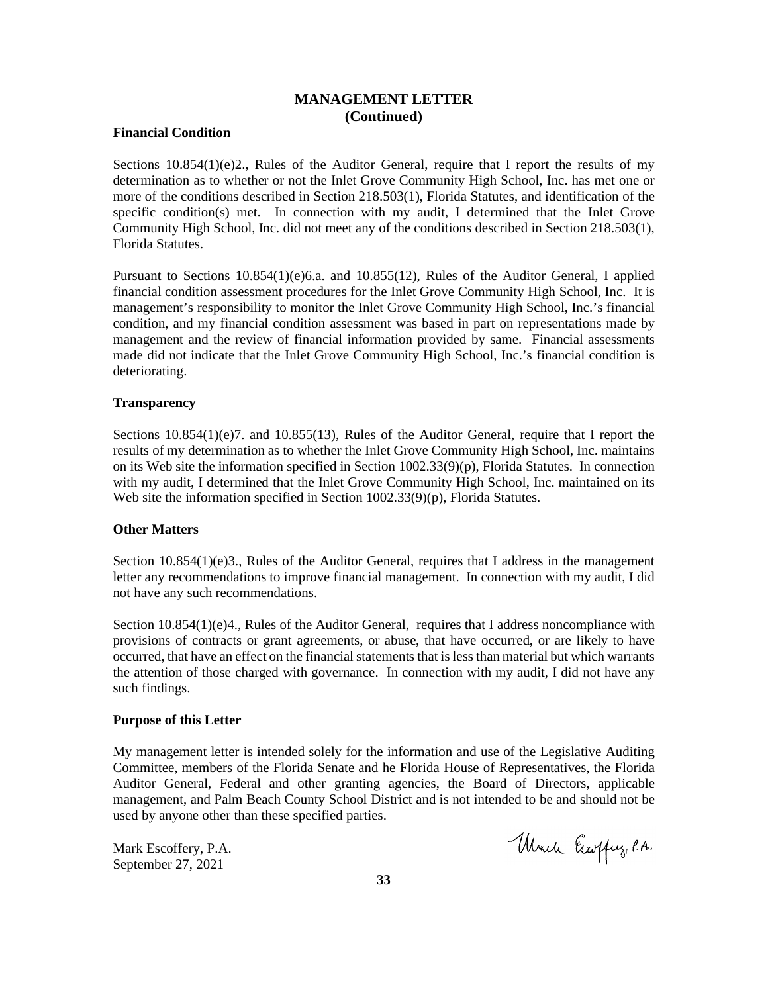# **MANAGEMENT LETTER (Continued)**

#### **Financial Condition**

Sections  $10.854(1)(e)2$ ., Rules of the Auditor General, require that I report the results of my determination as to whether or not the Inlet Grove Community High School, Inc. has met one or more of the conditions described in Section 218.503(1), Florida Statutes, and identification of the specific condition(s) met. In connection with my audit, I determined that the Inlet Grove Community High School, Inc. did not meet any of the conditions described in Section 218.503(1), Florida Statutes.

Pursuant to Sections 10.854(1)(e)6.a. and 10.855(12), Rules of the Auditor General, I applied financial condition assessment procedures for the Inlet Grove Community High School, Inc. It is management's responsibility to monitor the Inlet Grove Community High School, Inc.'s financial condition, and my financial condition assessment was based in part on representations made by management and the review of financial information provided by same. Financial assessments made did not indicate that the Inlet Grove Community High School, Inc.'s financial condition is deteriorating.

## **Transparency**

Sections  $10.854(1)(e)$ 7. and  $10.855(13)$ , Rules of the Auditor General, require that I report the results of my determination as to whether the Inlet Grove Community High School, Inc. maintains on its Web site the information specified in Section 1002.33(9)(p), Florida Statutes. In connection with my audit, I determined that the Inlet Grove Community High School, Inc. maintained on its Web site the information specified in Section 1002.33(9)(p), Florida Statutes.

#### **Other Matters**

Section 10.854(1)(e)3., Rules of the Auditor General, requires that I address in the management letter any recommendations to improve financial management. In connection with my audit, I did not have any such recommendations.

Section 10.854(1)(e)4., Rules of the Auditor General, requires that I address noncompliance with provisions of contracts or grant agreements, or abuse, that have occurred, or are likely to have occurred, that have an effect on the financial statements that is less than material but which warrants the attention of those charged with governance. In connection with my audit, I did not have any such findings.

#### **Purpose of this Letter**

My management letter is intended solely for the information and use of the Legislative Auditing Committee, members of the Florida Senate and he Florida House of Representatives, the Florida Auditor General, Federal and other granting agencies, the Board of Directors, applicable management, and Palm Beach County School District and is not intended to be and should not be used by anyone other than these specified parties.

Mark Escoffery, P.A. September 27, 2021

Moule Everfley, P.A.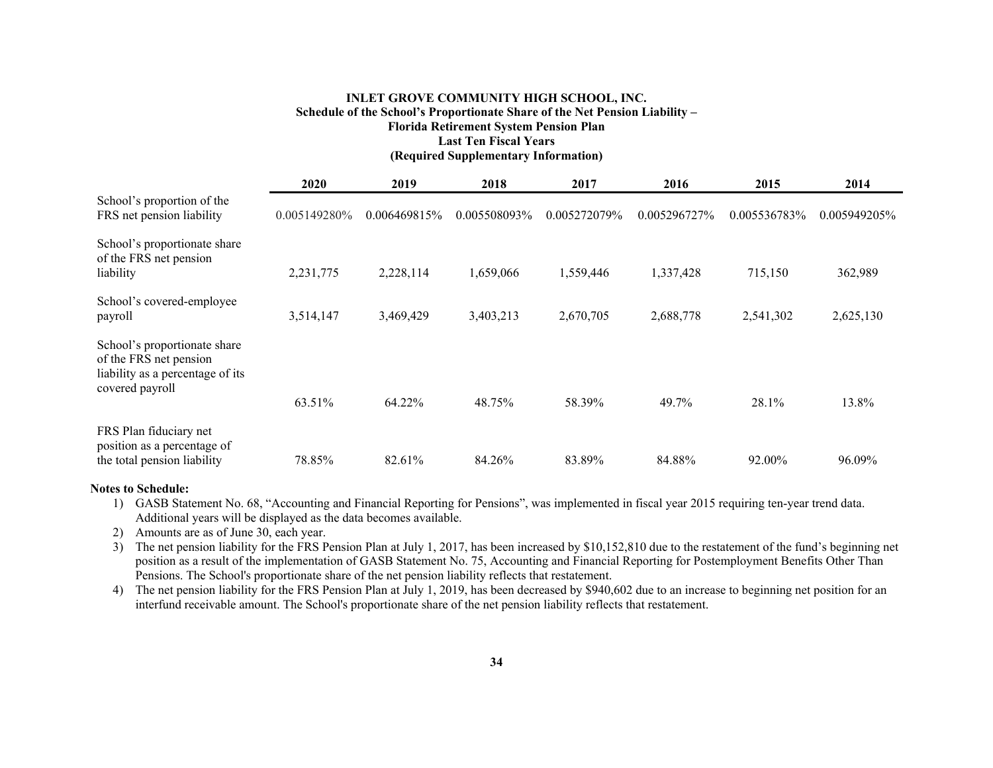#### **INLET GROVE COMMUNITY HIGH SCHOOL, INC. Schedule of the School's Proportionate Share of the Net Pension Liability – Florida Retirement System Pension Plan Last Ten Fiscal Years (Required Supplementary Information)**

|                                                                                                               | 2020         | 2019         | 2018         | 2017         | 2016         | 2015         | 2014         |
|---------------------------------------------------------------------------------------------------------------|--------------|--------------|--------------|--------------|--------------|--------------|--------------|
| School's proportion of the<br>FRS net pension liability                                                       | 0.005149280% | 0.006469815% | 0.005508093% | 0.005272079% | 0.005296727% | 0.005536783% | 0.005949205% |
| School's proportionate share<br>of the FRS net pension<br>liability                                           | 2,231,775    | 2,228,114    | 1,659,066    | 1,559,446    | 1,337,428    | 715,150      | 362,989      |
| School's covered-employee<br>payroll                                                                          | 3,514,147    | 3,469,429    | 3,403,213    | 2,670,705    | 2,688,778    | 2,541,302    | 2,625,130    |
| School's proportionate share<br>of the FRS net pension<br>liability as a percentage of its<br>covered payroll | 63.51%       | 64.22%       | 48.75%       | 58.39%       | 49.7%        | 28.1%        | 13.8%        |
| FRS Plan fiduciary net<br>position as a percentage of<br>the total pension liability                          | 78.85%       | 82.61%       | 84.26%       | 83.89%       | 84.88%       | 92.00%       | 96.09%       |

#### **Notes to Schedule:**

1) GASB Statement No. 68, "Accounting and Financial Reporting for Pensions", was implemented in fiscal year 2015 requiring ten-year trend data. Additional years will be displayed as the data becomes available.

2) Amounts are as of June 30, each year.

3) The net pension liability for the FRS Pension Plan at July 1, 2017, has been increased by \$10,152,810 due to the restatement of the fund's beginning net position as a result of the implementation of GASB Statement No. 75, Accounting and Financial Reporting for Postemployment Benefits Other Than Pensions. The School's proportionate share of the net pension liability reflects that restatement.

4) The net pension liability for the FRS Pension Plan at July 1, 2019, has been decreased by \$940,602 due to an increase to beginning net position for an interfund receivable amount. The School's proportionate share of the net pension liability reflects that restatement.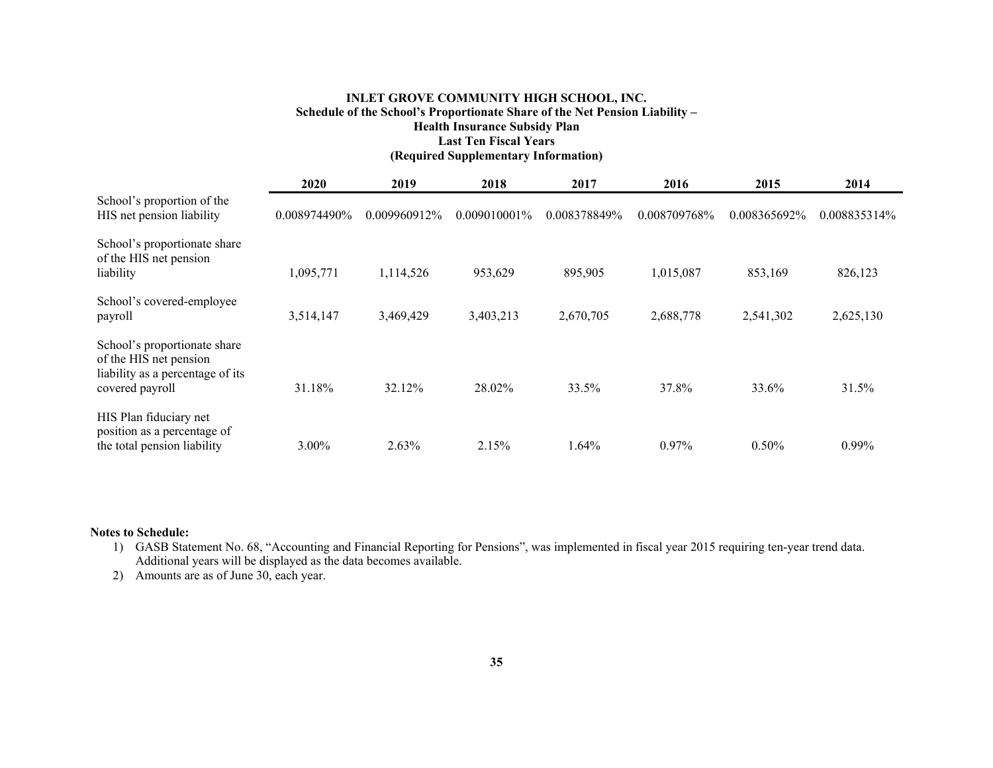#### **INLET GROVE COMMUNITY HIGH SCHOOL, INC. Schedule of the School's Proportionate Share of the Net Pension Liability – Health Insurance Subsidy Plan Last Ten Fiscal Years (Required Supplementary Information)**

|                                                                                                               | 2020         | 2019         | 2018            | 2017         | 2016         | 2015         | 2014         |
|---------------------------------------------------------------------------------------------------------------|--------------|--------------|-----------------|--------------|--------------|--------------|--------------|
| School's proportion of the<br>HIS net pension liability                                                       | 0.008974490% | 0.009960912% | $0.009010001\%$ | 0.008378849% | 0.008709768% | 0.008365692% | 0.008835314% |
| School's proportionate share<br>of the HIS net pension<br>liability                                           | 1,095,771    | 1,114,526    | 953,629         | 895,905      | 1,015,087    | 853,169      | 826,123      |
| School's covered-employee<br>payroll                                                                          | 3,514,147    | 3,469,429    | 3,403,213       | 2,670,705    | 2,688,778    | 2,541,302    | 2,625,130    |
| School's proportionate share<br>of the HIS net pension<br>liability as a percentage of its<br>covered payroll | 31.18%       | 32.12%       | 28.02%          | 33.5%        | 37.8%        | 33.6%        | 31.5%        |
| HIS Plan fiduciary net<br>position as a percentage of<br>the total pension liability                          | $3.00\%$     | 2.63%        | 2.15%           | $1.64\%$     | 0.97%        | $0.50\%$     | $0.99\%$     |

#### **Notes to Schedule:**

1) GASB Statement No. 68, "Accounting and Financial Reporting for Pensions", was implemented in fiscal year 2015 requiring ten-year trend data. Additional years will be displayed as the data becomes available.

2) Amounts are as of June 30, each year.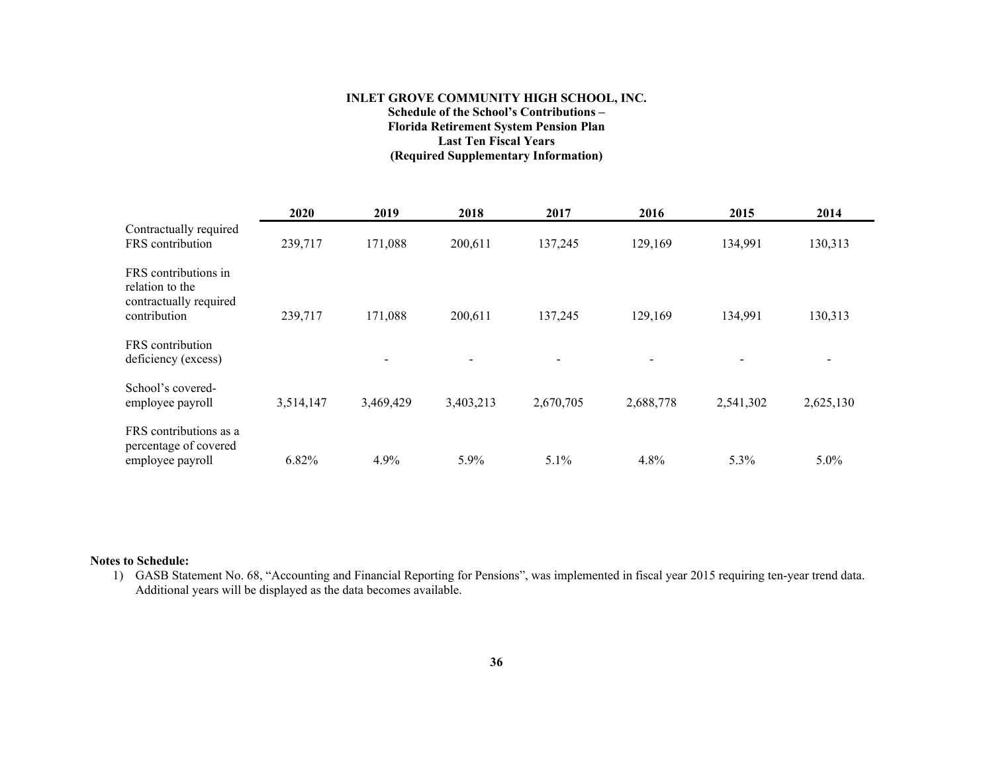#### **INLET GROVE COMMUNITY HIGH SCHOOL, INC.**

**Schedule of the School's Contributions – Florida Retirement System Pension Plan Last Ten Fiscal Years (Required Supplementary Information)** 

|                                                                                   | 2020      | 2019      | 2018                     | 2017      | 2016           | 2015      | 2014      |
|-----------------------------------------------------------------------------------|-----------|-----------|--------------------------|-----------|----------------|-----------|-----------|
| Contractually required<br>FRS contribution                                        | 239,717   | 171,088   | 200,611                  | 137,245   | 129,169        | 134,991   | 130,313   |
| FRS contributions in<br>relation to the<br>contractually required<br>contribution | 239,717   | 171,088   | 200,611                  | 137,245   | 129,169        | 134,991   | 130,313   |
| FRS contribution<br>deficiency (excess)                                           |           |           | $\overline{\phantom{a}}$ |           | $\blacksquare$ |           |           |
| School's covered-<br>employee payroll                                             | 3,514,147 | 3,469,429 | 3,403,213                | 2,670,705 | 2,688,778      | 2,541,302 | 2,625,130 |
| FRS contributions as a<br>percentage of covered<br>employee payroll               | 6.82%     | 4.9%      | 5.9%                     | 5.1%      | 4.8%           | 5.3%      | 5.0%      |

#### **Notes to Schedule:**

1) GASB Statement No. 68, "Accounting and Financial Reporting for Pensions", was implemented in fiscal year 2015 requiring ten-year trend data. Additional years will be displayed as the data becomes available.